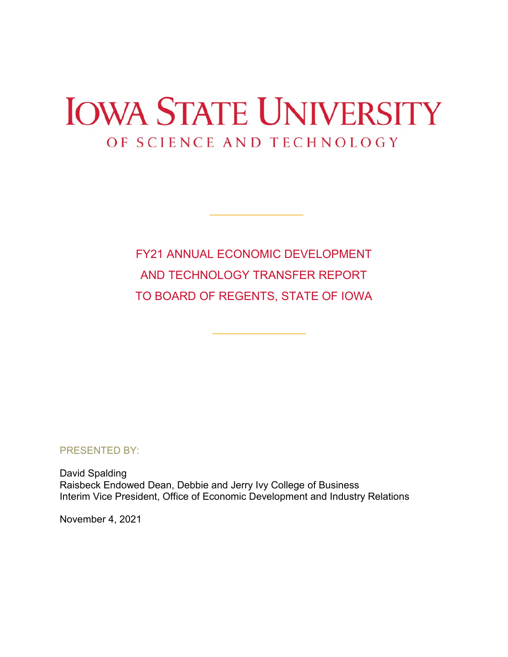# **IOWA STATE UNIVERSITY** OF SCIENCE AND TECHNOLOGY

FY21 ANNUAL ECONOMIC DEVELOPMENT AND TECHNOLOGY TRANSFER REPORT TO BOARD OF REGENTS, STATE OF IOWA

PRESENTED BY:

David Spalding Raisbeck Endowed Dean, Debbie and Jerry Ivy College of Business Interim Vice President, Office of Economic Development and Industry Relations

November 4, 2021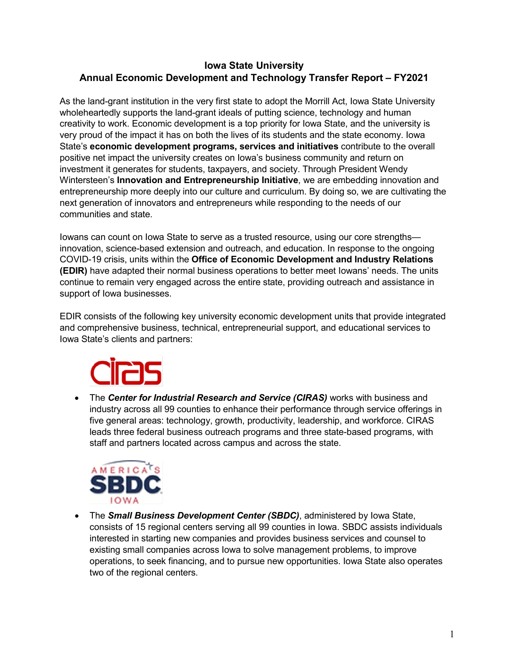### **Iowa State University Annual Economic Development and Technology Transfer Report – FY2021**

As the land-grant institution in the very first state to adopt the Morrill Act, Iowa State University wholeheartedly supports the land-grant ideals of putting science, technology and human creativity to work. Economic development is a top priority for Iowa State, and the university is very proud of the impact it has on both the lives of its students and the state economy. Iowa State's **economic development programs, services and initiatives** contribute to the overall positive net impact the university creates on Iowa's business community and return on investment it generates for students, taxpayers, and society. Through President Wendy Wintersteen's **Innovation and Entrepreneurship Initiative**, we are embedding innovation and entrepreneurship more deeply into our culture and curriculum. By doing so, we are cultivating the next generation of innovators and entrepreneurs while responding to the needs of our communities and state.

Iowans can count on Iowa State to serve as a trusted resource, using our core strengths innovation, science-based extension and outreach, and education. In response to the ongoing COVID-19 crisis, units within the **Office of Economic Development and Industry Relations (EDIR)** have adapted their normal business operations to better meet Iowans' needs. The units continue to remain very engaged across the entire state, providing outreach and assistance in support of Iowa businesses.

EDIR consists of the following key university economic development units that provide integrated and comprehensive business, technical, entrepreneurial support, and educational services to Iowa State's clients and partners:



• The *Center for Industrial Research and Service (CIRAS)* works with business and industry across all 99 counties to enhance their performance through service offerings in five general areas: technology, growth, productivity, leadership, and workforce. CIRAS leads three federal business outreach programs and three state-based programs, with staff and partners located across campus and across the state.



• The *Small Business Development Center (SBDC)*, administered by Iowa State, consists of 15 regional centers serving all 99 counties in Iowa. SBDC assists individuals interested in starting new companies and provides business services and counsel to existing small companies across Iowa to solve management problems, to improve operations, to seek financing, and to pursue new opportunities. Iowa State also operates two of the regional centers.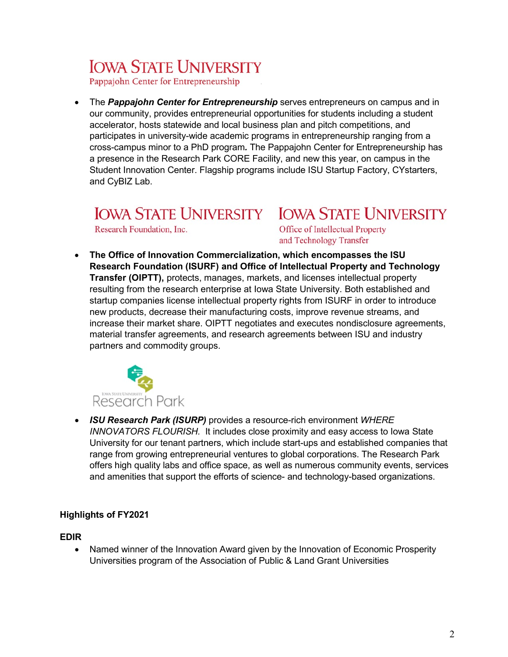## **IOWA STATE UNIVERSITY**

Pappajohn Center for Entrepreneurship

• The *Pappajohn Center for Entrepreneurship* serves entrepreneurs on campus and in our community, provides entrepreneurial opportunities for students including a student accelerator, hosts statewide and local business plan and pitch competitions, and participates in university-wide academic programs in entrepreneurship ranging from a cross-campus minor to a PhD program*.* The Pappajohn Center for Entrepreneurship has a presence in the Research Park CORE Facility, and new this year, on campus in the Student Innovation Center. Flagship programs include ISU Startup Factory, CYstarters, and CyBIZ Lab.

### **IOWA STATE UNIVERSITY IOWA STATE UNIVERSITY**

Research Foundation, Inc.

Office of Intellectual Property and Technology Transfer

• **The Office of Innovation Commercialization, which encompasses the ISU Research Foundation (ISURF) and Office of Intellectual Property and Technology Transfer (OIPTT),** protects, manages, markets, and licenses intellectual property resulting from the research enterprise at Iowa State University. Both established and startup companies license intellectual property rights from ISURF in order to introduce new products, decrease their manufacturing costs, improve revenue streams, and increase their market share. OIPTT negotiates and executes nondisclosure agreements, material transfer agreements, and research agreements between ISU and industry partners and commodity groups.



• *ISU Research Park (ISURP)* provides a resource-rich environment *WHERE INNOVATORS FLOURISH.* It includes close proximity and easy access to Iowa State University for our tenant partners, which include start-ups and established companies that range from growing entrepreneurial ventures to global corporations. The Research Park offers high quality labs and office space, as well as numerous community events, services and amenities that support the efforts of science- and technology-based organizations.

#### **Highlights of FY2021**

#### **EDIR**

• Named winner of the Innovation Award given by the Innovation of Economic Prosperity Universities program of the Association of Public & Land Grant Universities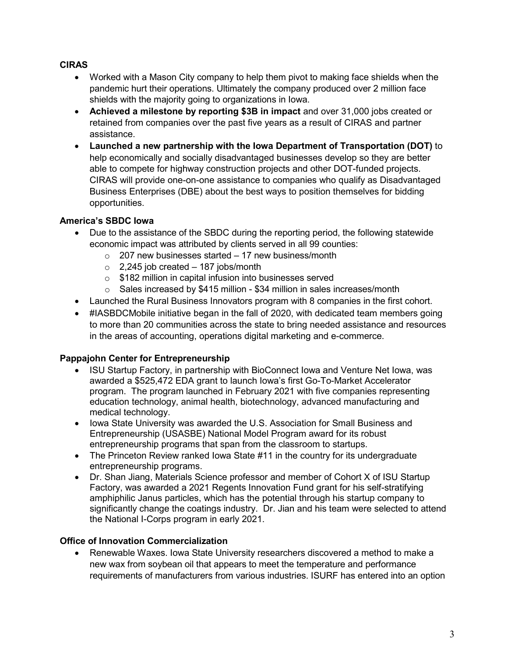#### **CIRAS**

- Worked with a Mason City company to help them pivot to making face shields when the pandemic hurt their operations. Ultimately the company produced over 2 million face shields with the majority going to organizations in Iowa.
- **Achieved a milestone by reporting \$3B in impact** and over 31,000 jobs created or retained from companies over the past five years as a result of CIRAS and partner assistance.
- **Launched a new partnership with the Iowa Department of Transportation (DOT)** to help economically and socially disadvantaged businesses develop so they are better able to compete for highway construction projects and other DOT-funded projects. CIRAS will provide one-on-one assistance to companies who qualify as Disadvantaged Business Enterprises (DBE) about the best ways to position themselves for bidding opportunities.

#### **America's SBDC Iowa**

- Due to the assistance of the SBDC during the reporting period, the following statewide economic impact was attributed by clients served in all 99 counties:
	- $\circ$  207 new businesses started 17 new business/month
	- $\circ$  2,245 job created 187 jobs/month
	- o \$182 million in capital infusion into businesses served
	- o Sales increased by \$415 million \$34 million in sales increases/month
- Launched the Rural Business Innovators program with 8 companies in the first cohort.
- #IASBDCMobile initiative began in the fall of 2020, with dedicated team members going to more than 20 communities across the state to bring needed assistance and resources in the areas of accounting, operations digital marketing and e-commerce.

#### **Pappajohn Center for Entrepreneurship**

- ISU Startup Factory, in partnership with BioConnect Iowa and Venture Net Iowa, was awarded a \$525,472 EDA grant to launch Iowa's first Go-To-Market Accelerator program. The program launched in February 2021 with five companies representing education technology, animal health, biotechnology, advanced manufacturing and medical technology.
- Iowa State University was awarded the U.S. Association for Small Business and Entrepreneurship (USASBE) National Model Program award for its robust entrepreneurship programs that span from the classroom to startups.
- The Princeton Review ranked lowa State #11 in the country for its undergraduate entrepreneurship programs.
- Dr. Shan Jiang, Materials Science professor and member of Cohort X of ISU Startup Factory, was awarded a 2021 Regents Innovation Fund grant for his self-stratifying amphiphilic Janus particles, which has the potential through his startup company to significantly change the coatings industry. Dr. Jian and his team were selected to attend the National I-Corps program in early 2021.

#### **Office of Innovation Commercialization**

• Renewable Waxes. Iowa State University researchers discovered a method to make a new wax from soybean oil that appears to meet the temperature and performance requirements of manufacturers from various industries. ISURF has entered into an option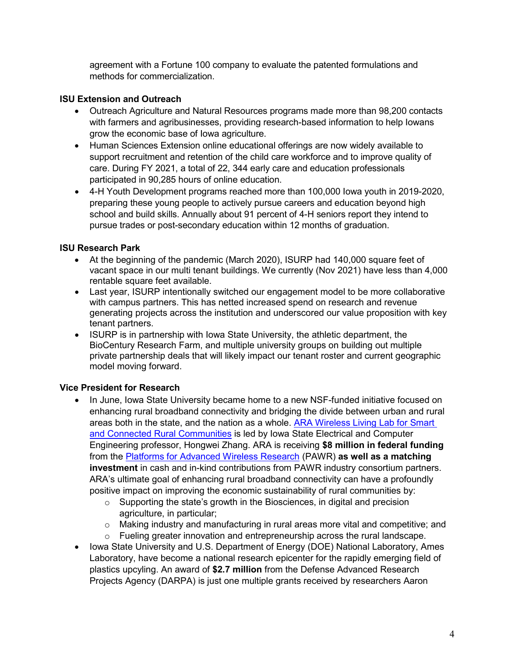agreement with a Fortune 100 company to evaluate the patented formulations and methods for commercialization.

#### **ISU Extension and Outreach**

- Outreach Agriculture and Natural Resources programs made more than 98,200 contacts with farmers and agribusinesses, providing research-based information to help Iowans grow the economic base of Iowa agriculture.
- Human Sciences Extension online educational offerings are now widely available to support recruitment and retention of the child care workforce and to improve quality of care. During FY 2021, a total of 22, 344 early care and education professionals participated in 90,285 hours of online education.
- 4-H Youth Development programs reached more than 100,000 Iowa youth in 2019-2020, preparing these young people to actively pursue careers and education beyond high school and build skills. Annually about 91 percent of 4-H seniors report they intend to pursue trades or post-secondary education within 12 months of graduation.

#### **ISU Research Park**

- At the beginning of the pandemic (March 2020), ISURP had 140,000 square feet of vacant space in our multi tenant buildings. We currently (Nov 2021) have less than 4,000 rentable square feet available.
- Last year, ISURP intentionally switched our engagement model to be more collaborative with campus partners. This has netted increased spend on research and revenue generating projects across the institution and underscored our value proposition with key tenant partners.
- ISURP is in partnership with Iowa State University, the athletic department, the BioCentury Research Farm, and multiple university groups on building out multiple private partnership deals that will likely impact our tenant roster and current geographic model moving forward.

### **Vice President for Research**

- In June, Iowa State University became home to a new NSF-funded initiative focused on enhancing rural broadband connectivity and bridging the divide between urban and rural areas both in the state, and the nation as a whole. [ARA Wireless Living Lab for Smart](https://arawireless.org/)  [and Connected Rural Communities](https://arawireless.org/) is led by Iowa State Electrical and Computer Engineering professor, Hongwei Zhang. ARA is receiving **\$8 million in federal funding** from the [Platforms for Advanced Wireless Research](https://advancedwireless.org/) (PAWR) **as well as a matching investment** in cash and in-kind contributions from PAWR industry consortium partners. ARA's ultimate goal of enhancing rural broadband connectivity can have a profoundly positive impact on improving the economic sustainability of rural communities by:
	- o Supporting the state's growth in the Biosciences, in digital and precision agriculture, in particular;
	- o Making industry and manufacturing in rural areas more vital and competitive; and o Fueling greater innovation and entrepreneurship across the rural landscape.
- Iowa State University and U.S. Department of Energy (DOE) National Laboratory, Ames Laboratory, have become a national research epicenter for the rapidly emerging field of plastics upcyling. An award of **\$2.7 million** from the Defense Advanced Research Projects Agency (DARPA) is just one multiple grants received by researchers Aaron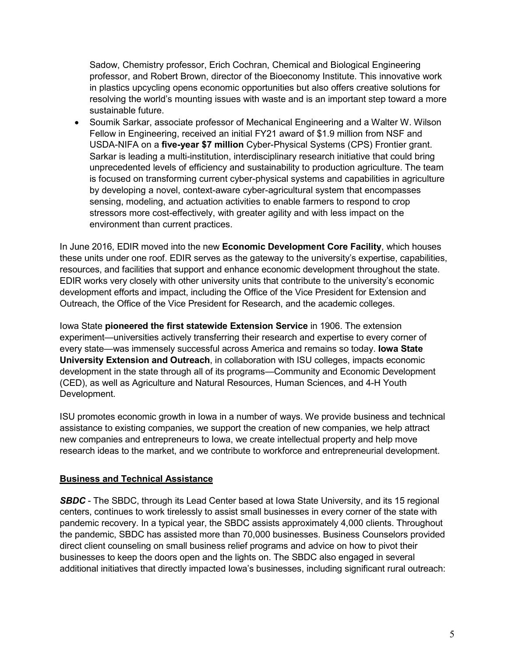Sadow, Chemistry professor, Erich Cochran, Chemical and Biological Engineering professor, and Robert Brown, director of the Bioeconomy Institute. This innovative work in plastics upcycling opens economic opportunities but also offers creative solutions for resolving the world's mounting issues with waste and is an important step toward a more sustainable future.

• Soumik Sarkar, associate professor of Mechanical Engineering and a Walter W. Wilson Fellow in Engineering, received an initial FY21 award of \$1.9 million from NSF and USDA-NIFA on a **five-year \$7 million** Cyber-Physical Systems (CPS) Frontier grant. Sarkar is leading a multi-institution, interdisciplinary research initiative that could bring unprecedented levels of efficiency and sustainability to production agriculture. The team is focused on transforming current cyber-physical systems and capabilities in agriculture by developing a novel, context-aware cyber-agricultural system that encompasses sensing, modeling, and actuation activities to enable farmers to respond to crop stressors more cost-effectively, with greater agility and with less impact on the environment than current practices.

In June 2016, EDIR moved into the new **Economic Development Core Facility**, which houses these units under one roof. EDIR serves as the gateway to the university's expertise, capabilities, resources, and facilities that support and enhance economic development throughout the state. EDIR works very closely with other university units that contribute to the university's economic development efforts and impact, including the Office of the Vice President for Extension and Outreach, the Office of the Vice President for Research, and the academic colleges.

Iowa State **pioneered the first statewide Extension Service** in 1906. The extension experiment—universities actively transferring their research and expertise to every corner of every state—was immensely successful across America and remains so today. **Iowa State University Extension and Outreach**, in collaboration with ISU colleges, impacts economic development in the state through all of its programs—Community and Economic Development (CED), as well as Agriculture and Natural Resources, Human Sciences, and 4-H Youth Development.

ISU promotes economic growth in Iowa in a number of ways. We provide business and technical assistance to existing companies, we support the creation of new companies, we help attract new companies and entrepreneurs to Iowa, we create intellectual property and help move research ideas to the market, and we contribute to workforce and entrepreneurial development.

#### **Business and Technical Assistance**

**SBDC** - The SBDC, through its Lead Center based at lowa State University, and its 15 regional centers, continues to work tirelessly to assist small businesses in every corner of the state with pandemic recovery. In a typical year, the SBDC assists approximately 4,000 clients. Throughout the pandemic, SBDC has assisted more than 70,000 businesses. Business Counselors provided direct client counseling on small business relief programs and advice on how to pivot their businesses to keep the doors open and the lights on. The SBDC also engaged in several additional initiatives that directly impacted Iowa's businesses, including significant rural outreach: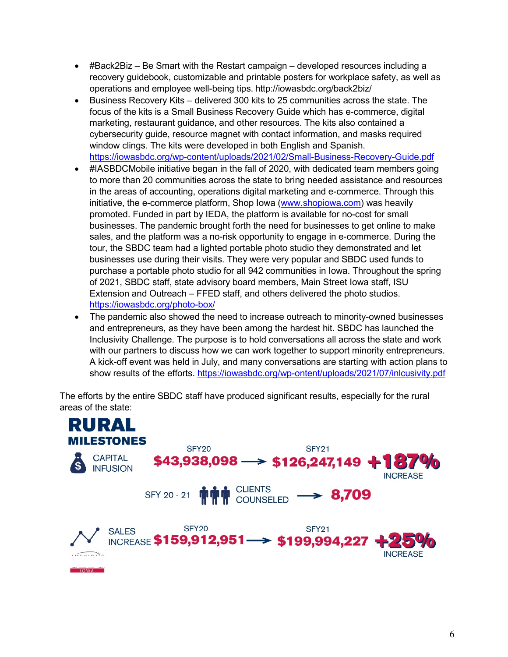- #Back2Biz Be Smart with the Restart campaign developed resources including a recovery guidebook, customizable and printable posters for workplace safety, as well as operations and employee well-being tips. http://iowasbdc.org/back2biz/
- Business Recovery Kits delivered 300 kits to 25 communities across the state. The focus of the kits is a Small Business Recovery Guide which has e-commerce, digital marketing, restaurant guidance, and other resources. The kits also contained a cybersecurity guide, resource magnet with contact information, and masks required window clings. The kits were developed in both English and Spanish. <https://iowasbdc.org/wp-content/uploads/2021/02/Small-Business-Recovery-Guide.pdf>
- #IASBDCMobile initiative began in the fall of 2020, with dedicated team members going to more than 20 communities across the state to bring needed assistance and resources in the areas of accounting, operations digital marketing and e-commerce. Through this initiative, the e-commerce platform, Shop Iowa [\(www.shopiowa.com\)](http://www.shopiowa.com/) was heavily promoted. Funded in part by IEDA, the platform is available for no-cost for small businesses. The pandemic brought forth the need for businesses to get online to make sales, and the platform was a no-risk opportunity to engage in e-commerce. During the tour, the SBDC team had a lighted portable photo studio they demonstrated and let businesses use during their visits. They were very popular and SBDC used funds to purchase a portable photo studio for all 942 communities in Iowa. Throughout the spring of 2021, SBDC staff, state advisory board members, Main Street Iowa staff, ISU Extension and Outreach – FFED staff, and others delivered the photo studios. <https://iowasbdc.org/photo-box/>
- The pandemic also showed the need to increase outreach to minority-owned businesses and entrepreneurs, as they have been among the hardest hit. SBDC has launched the Inclusivity Challenge. The purpose is to hold conversations all across the state and work with our partners to discuss how we can work together to support minority entrepreneurs. A kick-off event was held in July, and many conversations are starting with action plans to show results of the efforts.<https://iowasbdc.org/wp-ontent/uploads/2021/07/inlcusivity.pdf>

The efforts by the entire SBDC staff have produced significant results, especially for the rural areas of the state:

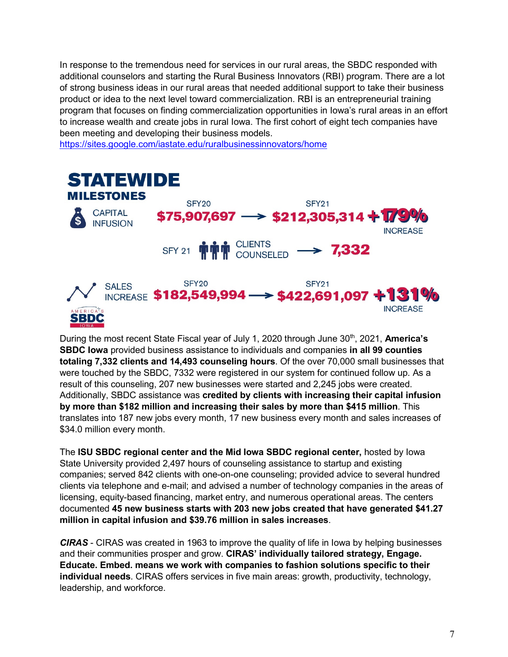In response to the tremendous need for services in our rural areas, the SBDC responded with additional counselors and starting the Rural Business Innovators (RBI) program. There are a lot of strong business ideas in our rural areas that needed additional support to take their business product or idea to the next level toward commercialization. RBI is an entrepreneurial training program that focuses on finding commercialization opportunities in Iowa's rural areas in an effort to increase wealth and create jobs in rural Iowa. The first cohort of eight tech companies have been meeting and developing their business models.

<https://sites.google.com/iastate.edu/ruralbusinessinnovators/home>



During the most recent State Fiscal year of July 1, 2020 through June 30<sup>th</sup>, 2021, **America's SBDC Iowa** provided business assistance to individuals and companies **in all 99 counties totaling 7,332 clients and 14,493 counseling hours**. Of the over 70,000 small businesses that were touched by the SBDC, 7332 were registered in our system for continued follow up. As a result of this counseling, 207 new businesses were started and 2,245 jobs were created. Additionally, SBDC assistance was **credited by clients with increasing their capital infusion by more than \$182 million and increasing their sales by more than \$415 million**. This translates into 187 new jobs every month, 17 new business every month and sales increases of \$34.0 million every month.

The **ISU SBDC regional center and the Mid Iowa SBDC regional center,** hosted by Iowa State University provided 2,497 hours of counseling assistance to startup and existing companies; served 842 clients with one-on-one counseling; provided advice to several hundred clients via telephone and e-mail; and advised a number of technology companies in the areas of licensing, equity-based financing, market entry, and numerous operational areas. The centers documented **45 new business starts with 203 new jobs created that have generated \$41.27 million in capital infusion and \$39.76 million in sales increases**.

*CIRAS* - CIRAS was created in 1963 to improve the quality of life in Iowa by helping businesses and their communities prosper and grow. **CIRAS' individually tailored strategy, Engage. Educate. Embed. means we work with companies to fashion solutions specific to their individual needs**. CIRAS offers services in five main areas: growth, productivity, technology, leadership, and workforce.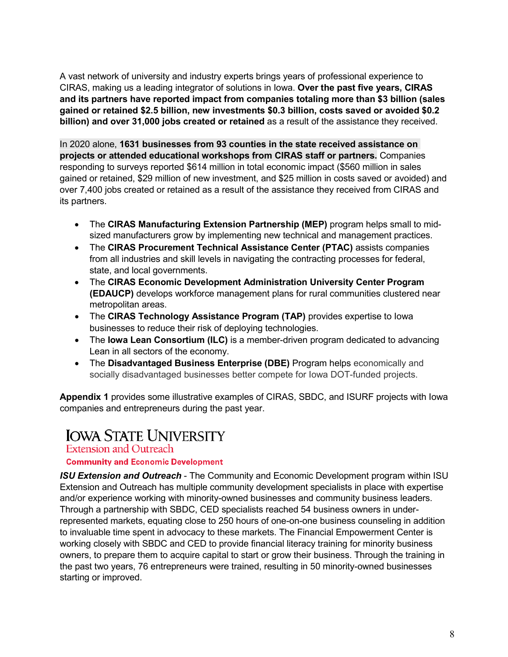A vast network of university and industry experts brings years of professional experience to CIRAS, making us a leading integrator of solutions in Iowa. **Over the past five years, CIRAS and its partners have reported impact from companies totaling more than \$3 billion (sales gained or retained \$2.5 billion, new investments \$0.3 billion, costs saved or avoided \$0.2 billion) and over 31,000 jobs created or retained** as a result of the assistance they received.

In 2020 alone, **1631 businesses from 93 counties in the state received assistance on projects or attended educational workshops from CIRAS staff or partners.** Companies responding to surveys reported \$614 million in total economic impact (\$560 million in sales gained or retained, \$29 million of new investment, and \$25 million in costs saved or avoided) and over 7,400 jobs created or retained as a result of the assistance they received from CIRAS and its partners.

- The **CIRAS Manufacturing Extension Partnership (MEP)** program helps small to midsized manufacturers grow by implementing new technical and management practices.
- The **CIRAS Procurement Technical Assistance Center (PTAC)** assists companies from all industries and skill levels in navigating the contracting processes for federal, state, and local governments.
- The **CIRAS Economic Development Administration University Center Program (EDAUCP)** develops workforce management plans for rural communities clustered near metropolitan areas.
- The **CIRAS Technology Assistance Program (TAP)** provides expertise to Iowa businesses to reduce their risk of deploying technologies.
- The **Iowa Lean Consortium (ILC)** is a member-driven program dedicated to advancing Lean in all sectors of the economy.
- The **Disadvantaged Business Enterprise (DBE)** Program helps economically and socially disadvantaged businesses better compete for Iowa DOT-funded projects.

**Appendix 1** provides some illustrative examples of CIRAS, SBDC, and ISURF projects with Iowa companies and entrepreneurs during the past year.

### **IOWA STATE UNIVERSITY**

**Extension and Outreach** 

#### **Community and Economic Development**

*ISU Extension and Outreach* - The Community and Economic Development program within ISU Extension and Outreach has multiple community development specialists in place with expertise and/or experience working with minority-owned businesses and community business leaders. Through a partnership with SBDC, CED specialists reached 54 business owners in underrepresented markets, equating close to 250 hours of one-on-one business counseling in addition to invaluable time spent in advocacy to these markets. The Financial Empowerment Center is working closely with SBDC and CED to provide financial literacy training for minority business owners, to prepare them to acquire capital to start or grow their business. Through the training in the past two years, 76 entrepreneurs were trained, resulting in 50 minority-owned businesses starting or improved.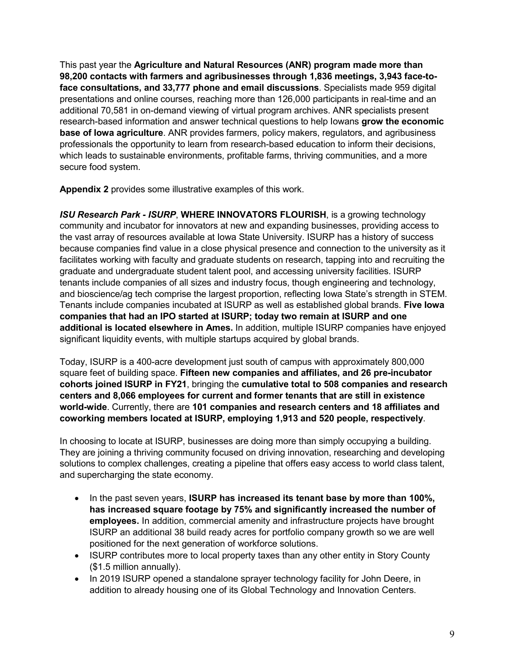This past year the **Agriculture and Natural Resources (ANR) program made more than 98,200 contacts with farmers and agribusinesses through 1,836 meetings, 3,943 face-toface consultations, and 33,777 phone and email discussions**. Specialists made 959 digital presentations and online courses, reaching more than 126,000 participants in real-time and an additional 70,581 in on-demand viewing of virtual program archives. ANR specialists present research-based information and answer technical questions to help Iowans **grow the economic base of Iowa agriculture**. ANR provides farmers, policy makers, regulators, and agribusiness professionals the opportunity to learn from research-based education to inform their decisions, which leads to sustainable environments, profitable farms, thriving communities, and a more secure food system.

**Appendix 2** provides some illustrative examples of this work.

*ISU Research Park - ISURP*, **WHERE INNOVATORS FLOURISH**, is a growing technology community and incubator for innovators at new and expanding businesses, providing access to the vast array of resources available at Iowa State University. ISURP has a history of success because companies find value in a close physical presence and connection to the university as it facilitates working with faculty and graduate students on research, tapping into and recruiting the graduate and undergraduate student talent pool, and accessing university facilities. ISURP tenants include companies of all sizes and industry focus, though engineering and technology, and bioscience/ag tech comprise the largest proportion, reflecting Iowa State's strength in STEM. Tenants include companies incubated at ISURP as well as established global brands. **Five Iowa companies that had an IPO started at ISURP; today two remain at ISURP and one additional is located elsewhere in Ames.** In addition, multiple ISURP companies have enjoyed significant liquidity events, with multiple startups acquired by global brands.

Today, ISURP is a 400-acre development just south of campus with approximately 800,000 square feet of building space. **Fifteen new companies and affiliates, and 26 pre-incubator cohorts joined ISURP in FY21**, bringing the **cumulative total to 508 companies and research centers and 8,066 employees for current and former tenants that are still in existence world-wide**. Currently, there are **101 companies and research centers and 18 affiliates and coworking members located at ISURP, employing 1,913 and 520 people, respectively**.

In choosing to locate at ISURP, businesses are doing more than simply occupying a building. They are joining a thriving community focused on driving innovation, researching and developing solutions to complex challenges, creating a pipeline that offers easy access to world class talent, and supercharging the state economy.

- In the past seven years, **ISURP has increased its tenant base by more than 100%, has increased square footage by 75% and significantly increased the number of employees.** In addition, commercial amenity and infrastructure projects have brought ISURP an additional 38 build ready acres for portfolio company growth so we are well positioned for the next generation of workforce solutions.
- ISURP contributes more to local property taxes than any other entity in Story County (\$1.5 million annually).
- In 2019 ISURP opened a standalone sprayer technology facility for John Deere, in addition to already housing one of its Global Technology and Innovation Centers.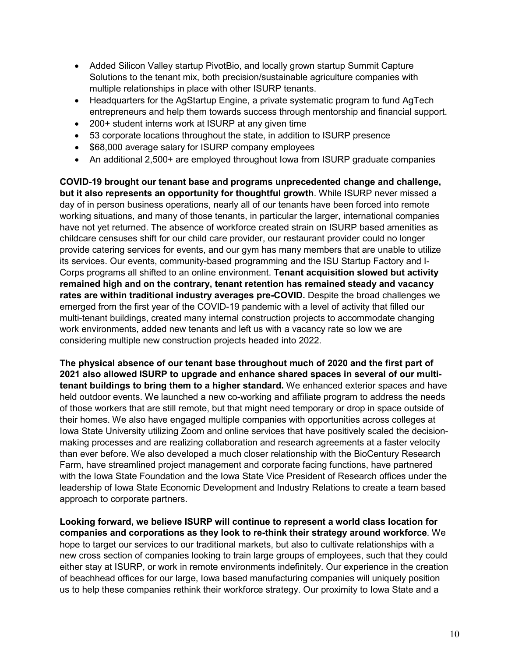- Added Silicon Valley startup PivotBio, and locally grown startup Summit Capture Solutions to the tenant mix, both precision/sustainable agriculture companies with multiple relationships in place with other ISURP tenants.
- Headquarters for the AgStartup Engine, a private systematic program to fund AgTech entrepreneurs and help them towards success through mentorship and financial support.
- 200+ student interns work at ISURP at any given time
- 53 corporate locations throughout the state, in addition to ISURP presence
- \$68,000 average salary for ISURP company employees
- An additional 2,500+ are employed throughout lowa from ISURP graduate companies

**COVID-19 brought our tenant base and programs unprecedented change and challenge, but it also represents an opportunity for thoughtful growth**. While ISURP never missed a day of in person business operations, nearly all of our tenants have been forced into remote working situations, and many of those tenants, in particular the larger, international companies have not yet returned. The absence of workforce created strain on ISURP based amenities as childcare censuses shift for our child care provider, our restaurant provider could no longer provide catering services for events, and our gym has many members that are unable to utilize its services. Our events, community-based programming and the ISU Startup Factory and I-Corps programs all shifted to an online environment. **Tenant acquisition slowed but activity remained high and on the contrary, tenant retention has remained steady and vacancy rates are within traditional industry averages pre-COVID.** Despite the broad challenges we emerged from the first year of the COVID-19 pandemic with a level of activity that filled our multi-tenant buildings, created many internal construction projects to accommodate changing work environments, added new tenants and left us with a vacancy rate so low we are considering multiple new construction projects headed into 2022.

**The physical absence of our tenant base throughout much of 2020 and the first part of 2021 also allowed ISURP to upgrade and enhance shared spaces in several of our multitenant buildings to bring them to a higher standard.** We enhanced exterior spaces and have held outdoor events. We launched a new co-working and affiliate program to address the needs of those workers that are still remote, but that might need temporary or drop in space outside of their homes. We also have engaged multiple companies with opportunities across colleges at Iowa State University utilizing Zoom and online services that have positively scaled the decisionmaking processes and are realizing collaboration and research agreements at a faster velocity than ever before. We also developed a much closer relationship with the BioCentury Research Farm, have streamlined project management and corporate facing functions, have partnered with the Iowa State Foundation and the Iowa State Vice President of Research offices under the leadership of Iowa State Economic Development and Industry Relations to create a team based approach to corporate partners.

**Looking forward, we believe ISURP will continue to represent a world class location for companies and corporations as they look to re-think their strategy around workforce**. We hope to target our services to our traditional markets, but also to cultivate relationships with a new cross section of companies looking to train large groups of employees, such that they could either stay at ISURP, or work in remote environments indefinitely. Our experience in the creation of beachhead offices for our large, Iowa based manufacturing companies will uniquely position us to help these companies rethink their workforce strategy. Our proximity to Iowa State and a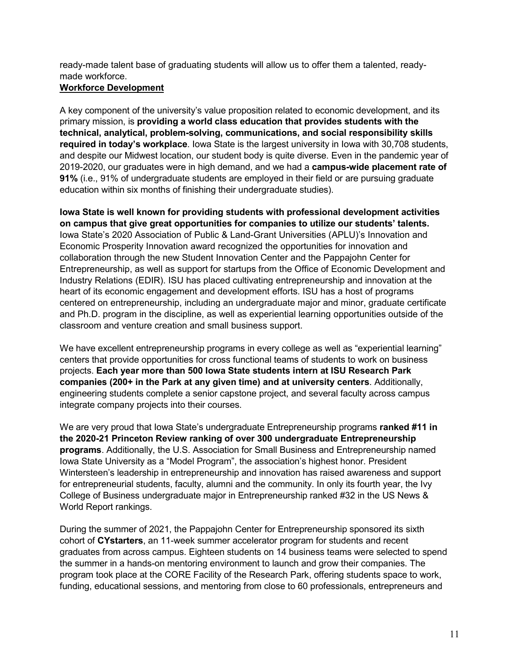ready-made talent base of graduating students will allow us to offer them a talented, readymade workforce.

#### **Workforce Development**

A key component of the university's value proposition related to economic development, and its primary mission, is **providing a world class education that provides students with the technical, analytical, problem-solving, communications, and social responsibility skills required in today's workplace**. Iowa State is the largest university in Iowa with 30,708 students, and despite our Midwest location, our student body is quite diverse. Even in the pandemic year of 2019-2020, our graduates were in high demand, and we had a **campus-wide placement rate of 91%** (i.e., 91% of undergraduate students are employed in their field or are pursuing graduate education within six months of finishing their undergraduate studies).

**Iowa State is well known for providing students with professional development activities on campus that give great opportunities for companies to utilize our students' talents.** Iowa State's 2020 Association of Public & Land-Grant Universities (APLU)'s Innovation and Economic Prosperity Innovation award recognized the opportunities for innovation and collaboration through the new Student Innovation Center and the Pappajohn Center for Entrepreneurship, as well as support for startups from the Office of [Economic Development and](http://www.econdev.iastate.edu/)  [Industry Relations](http://www.econdev.iastate.edu/) (EDIR). ISU has placed cultivating entrepreneurship and innovation at the heart of its economic engagement and development efforts. ISU has a host of programs centered on entrepreneurship, including an undergraduate major and minor, graduate certificate and Ph.D. program in the discipline, as well as experiential learning opportunities outside of the classroom and venture creation and small business support.

We have excellent entrepreneurship programs in every college as well as "experiential learning" centers that provide opportunities for cross functional teams of students to work on business projects. **Each year more than 500 Iowa State students intern at ISU Research Park companies (200+ in the Park at any given time) and at university centers**. Additionally, engineering students complete a senior capstone project, and several faculty across campus integrate company projects into their courses.

We are very proud that Iowa State's undergraduate Entrepreneurship programs **ranked #11 in the 2020-21 Princeton Review ranking of over 300 undergraduate Entrepreneurship programs**. Additionally, the U.S. Association for Small Business and Entrepreneurship named Iowa State University as a "Model Program", the association's highest honor. President Wintersteen's leadership in entrepreneurship and innovation has raised awareness and support for entrepreneurial students, faculty, alumni and the community. In only its fourth year, the Ivy College of Business undergraduate major in Entrepreneurship ranked #32 in the US News & World Report rankings.

During the summer of 2021, the Pappajohn Center for Entrepreneurship sponsored its sixth cohort of **CYstarters**, an 11-week summer accelerator program for students and recent graduates from across campus. Eighteen students on 14 business teams were selected to spend the summer in a hands-on mentoring environment to launch and grow their companies. The program took place at the CORE Facility of the Research Park, offering students space to work, funding, educational sessions, and mentoring from close to 60 professionals, entrepreneurs and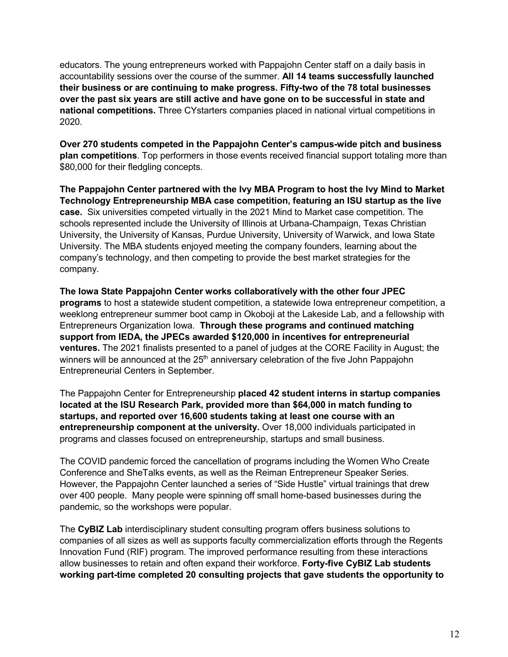educators. The young entrepreneurs worked with Pappajohn Center staff on a daily basis in accountability sessions over the course of the summer. **All 14 teams successfully launched their business or are continuing to make progress. Fifty-two of the 78 total businesses over the past six years are still active and have gone on to be successful in state and national competitions.** Three CYstarters companies placed in national virtual competitions in 2020.

**Over 270 students competed in the Pappajohn Center's campus-wide pitch and business plan competitions**. Top performers in those events received financial support totaling more than \$80,000 for their fledgling concepts.

**The Pappajohn Center partnered with the Ivy MBA Program to host the Ivy Mind to Market Technology Entrepreneurship MBA case competition, featuring an ISU startup as the live case.** Six universities competed virtually in the 2021 Mind to Market case competition. The schools represented include the University of Illinois at Urbana-Champaign, Texas Christian University, the University of Kansas, Purdue University, University of Warwick, and Iowa State University. The MBA students enjoyed meeting the company founders, learning about the company's technology, and then competing to provide the best market strategies for the company.

**The Iowa State Pappajohn Center works collaboratively with the other four JPEC programs** to host a statewide student competition, a statewide Iowa entrepreneur competition, a weeklong entrepreneur summer boot camp in Okoboji at the Lakeside Lab, and a fellowship with Entrepreneurs Organization Iowa. **Through these programs and continued matching support from IEDA, the JPECs awarded \$120,000 in incentives for entrepreneurial ventures.** The 2021 finalists presented to a panel of judges at the CORE Facility in August; the winners will be announced at the 25<sup>th</sup> anniversary celebration of the five John Pappajohn Entrepreneurial Centers in September.

The Pappajohn Center for Entrepreneurship **placed 42 student interns in startup companies located at the ISU Research Park, provided more than \$64,000 in match funding to startups, and reported over 16,600 students taking at least one course with an entrepreneurship component at the university.** Over 18,000 individuals participated in programs and classes focused on entrepreneurship, startups and small business.

The COVID pandemic forced the cancellation of programs including the Women Who Create Conference and SheTalks events, as well as the Reiman Entrepreneur Speaker Series. However, the Pappajohn Center launched a series of "Side Hustle" virtual trainings that drew over 400 people. Many people were spinning off small home-based businesses during the pandemic, so the workshops were popular.

The **CyBIZ Lab** interdisciplinary student consulting program offers business solutions to companies of all sizes as well as supports faculty commercialization efforts through the Regents Innovation Fund (RIF) program. The improved performance resulting from these interactions allow businesses to retain and often expand their workforce. **Forty-five CyBIZ Lab students working part-time completed 20 consulting projects that gave students the opportunity to**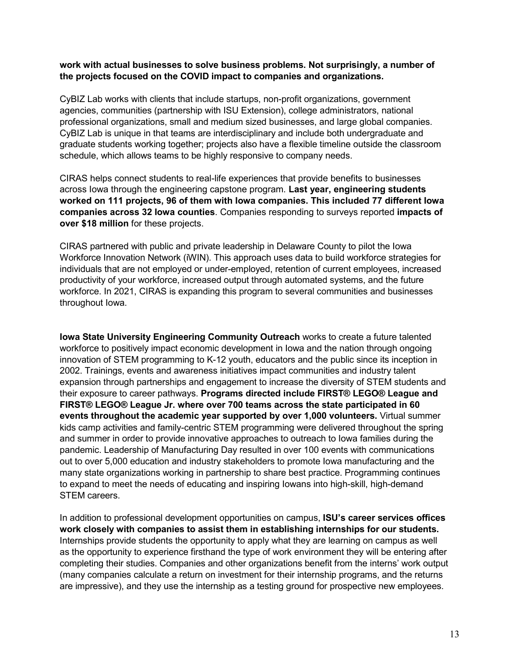#### **work with actual businesses to solve business problems. Not surprisingly, a number of the projects focused on the COVID impact to companies and organizations.**

CyBIZ Lab works with clients that include startups, non-profit organizations, government agencies, communities (partnership with ISU Extension), college administrators, national professional organizations, small and medium sized businesses, and large global companies. CyBIZ Lab is unique in that teams are interdisciplinary and include both undergraduate and graduate students working together; projects also have a flexible timeline outside the classroom schedule, which allows teams to be highly responsive to company needs.

CIRAS helps connect students to real-life experiences that provide benefits to businesses across Iowa through the engineering capstone program. **Last year, engineering students worked on 111 projects, 96 of them with Iowa companies. This included 77 different Iowa companies across 32 Iowa counties**. Companies responding to surveys reported **impacts of over \$18 million** for these projects.

CIRAS partnered with public and private leadership in Delaware County to pilot the Iowa Workforce Innovation Network (iWIN). This approach uses data to build workforce strategies for individuals that are not employed or under-employed, retention of current employees, increased productivity of your workforce, increased output through automated systems, and the future workforce. In 2021, CIRAS is expanding this program to several communities and businesses throughout Iowa.

**Iowa State University Engineering Community Outreach** works to create a future talented workforce to positively impact economic development in Iowa and the nation through ongoing innovation of STEM programming to K-12 youth, educators and the public since its inception in 2002. Trainings, events and awareness initiatives impact communities and industry talent expansion through partnerships and engagement to increase the diversity of STEM students and their exposure to career pathways. **Programs directed include FIRST® LEGO® League and FIRST® LEGO® League Jr. where over 700 teams across the state participated in 60 events throughout the academic year supported by over 1,000 volunteers.** Virtual summer kids camp activities and family-centric STEM programming were delivered throughout the spring and summer in order to provide innovative approaches to outreach to Iowa families during the pandemic. Leadership of Manufacturing Day resulted in over 100 events with communications out to over 5,000 education and industry stakeholders to promote Iowa manufacturing and the many state organizations working in partnership to share best practice. Programming continues to expand to meet the needs of educating and inspiring Iowans into high-skill, high-demand STEM careers.

In addition to professional development opportunities on campus, **ISU's career services offices work closely with companies to assist them in establishing internships for our students.**  Internships provide students the opportunity to apply what they are learning on campus as well as the opportunity to experience firsthand the type of work environment they will be entering after completing their studies. Companies and other organizations benefit from the interns' work output (many companies calculate a return on investment for their internship programs, and the returns are impressive), and they use the internship as a testing ground for prospective new employees.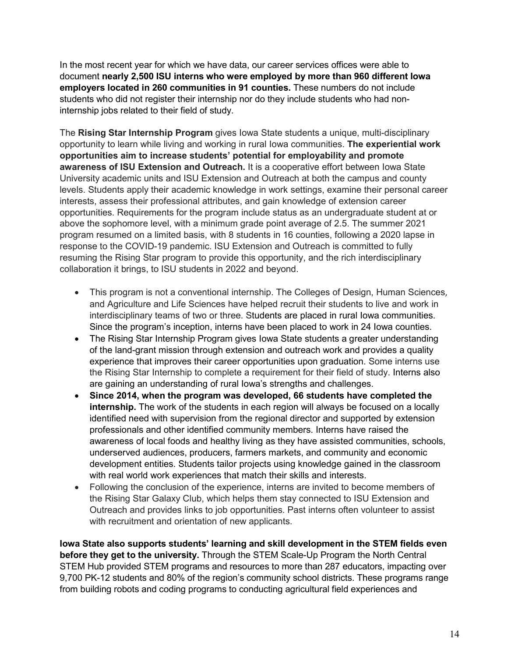In the most recent year for which we have data, our career services offices were able to document **nearly 2,500 ISU interns who were employed by more than 960 different Iowa employers located in 260 communities in 91 counties.** These numbers do not include students who did not register their internship nor do they include students who had noninternship jobs related to their field of study.

The **Rising Star Internship Program** gives Iowa State students a unique, multi-disciplinary opportunity to learn while living and working in rural Iowa communities. **The experiential work opportunities aim to increase students' potential for employability and promote awareness of ISU Extension and Outreach.** It is a cooperative effort between Iowa State University academic units and ISU Extension and Outreach at both the campus and county levels. Students apply their academic knowledge in work settings, examine their personal career interests, assess their professional attributes, and gain knowledge of extension career opportunities. Requirements for the program include status as an undergraduate student at or above the sophomore level, with a minimum grade point average of 2.5. The summer 2021 program resumed on a limited basis, with 8 students in 16 counties, following a 2020 lapse in response to the COVID-19 pandemic. ISU Extension and Outreach is committed to fully resuming the Rising Star program to provide this opportunity, and the rich interdisciplinary collaboration it brings, to ISU students in 2022 and beyond.

- This program is not a conventional internship. The Colleges of Design, Human Sciences, and Agriculture and Life Sciences have helped recruit their students to live and work in interdisciplinary teams of two or three. Students are placed in rural Iowa communities. Since the program's inception, interns have been placed to work in 24 Iowa counties.
- The Rising Star Internship Program gives Iowa State students a greater understanding of the land-grant mission through extension and outreach work and provides a quality experience that improves their career opportunities upon graduation. Some interns use the Rising Star Internship to complete a requirement for their field of study. Interns also are gaining an understanding of rural Iowa's strengths and challenges.
- **Since 2014, when the program was developed, 66 students have completed the internship.** The work of the students in each region will always be focused on a locally identified need with supervision from the regional director and supported by extension professionals and other identified community members. Interns have raised the awareness of local foods and healthy living as they have assisted communities, schools, underserved audiences, producers, farmers markets, and community and economic development entities. Students tailor projects using knowledge gained in the classroom with real world work experiences that match their skills and interests.
- Following the conclusion of the experience, interns are invited to become members of the Rising Star Galaxy Club, which helps them stay connected to ISU Extension and Outreach and provides links to job opportunities. Past interns often volunteer to assist with recruitment and orientation of new applicants.

**Iowa State also supports students' learning and skill development in the STEM fields even before they get to the university.** Through the STEM Scale-Up Program the North Central STEM Hub provided STEM programs and resources to more than 287 educators, impacting over 9,700 PK-12 students and 80% of the region's community school districts. These programs range from building robots and coding programs to conducting agricultural field experiences and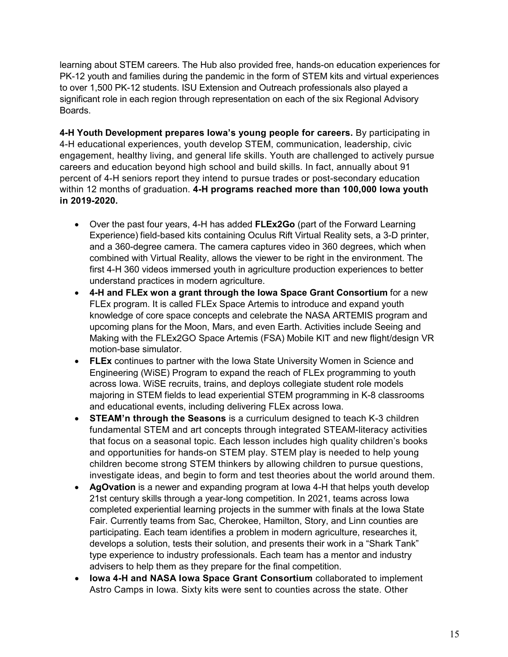learning about STEM careers. The Hub also provided free, hands-on education experiences for PK-12 youth and families during the pandemic in the form of STEM kits and virtual experiences to over 1,500 PK-12 students. ISU Extension and Outreach professionals also played a significant role in each region through representation on each of the six Regional Advisory Boards.

**4-H Youth Development prepares Iowa's young people for careers.** By participating in 4-H educational experiences, youth develop STEM, communication, leadership, civic engagement, healthy living, and general life skills. Youth are challenged to actively pursue careers and education beyond high school and build skills. In fact, annually about 91 percent of 4-H seniors report they intend to pursue trades or post-secondary education within 12 months of graduation. **4-H programs reached more than 100,000 Iowa youth in 2019-2020.**

- Over the past four years, 4-H has added **FLEx2Go** (part of the Forward Learning Experience) field-based kits containing Oculus Rift Virtual Reality sets, a 3-D printer, and a 360-degree camera. The camera captures video in 360 degrees, which when combined with Virtual Reality, allows the viewer to be right in the environment. The first 4-H 360 videos immersed youth in agriculture production experiences to better understand practices in modern agriculture.
- **4-H and FLEx won a grant through the Iowa Space Grant Consortium** for a new FLEx program. It is called FLEx Space Artemis to introduce and expand youth knowledge of core space concepts and celebrate the NASA ARTEMIS program and upcoming plans for the Moon, Mars, and even Earth. Activities include Seeing and Making with the FLEx2GO Space Artemis (FSA) Mobile KIT and new flight/design VR motion-base simulator.
- **FLEx** continues to partner with the Iowa State University Women in Science and Engineering (WiSE) Program to expand the reach of FLEx programming to youth across Iowa. WiSE recruits, trains, and deploys collegiate student role models majoring in STEM fields to lead experiential STEM programming in K-8 classrooms and educational events, including delivering FLEx across Iowa.
- **STEAM'n through the Seasons** is a curriculum designed to teach K-3 children fundamental STEM and art concepts through integrated STEAM-literacy activities that focus on a seasonal topic. Each lesson includes high quality children's books and opportunities for hands-on STEM play. STEM play is needed to help young children become strong STEM thinkers by allowing children to pursue questions, investigate ideas, and begin to form and test theories about the world around them.
- **AgOvation** is a newer and expanding program at Iowa 4-H that helps youth develop 21st century skills through a year-long competition. In 2021, teams across Iowa completed experiential learning projects in the summer with finals at the Iowa State Fair. Currently teams from Sac, Cherokee, Hamilton, Story, and Linn counties are participating. Each team identifies a problem in modern agriculture, researches it, develops a solution, tests their solution, and presents their work in a "Shark Tank" type experience to industry professionals. Each team has a mentor and industry advisers to help them as they prepare for the final competition.
- **Iowa 4-H and NASA Iowa Space Grant Consortium** collaborated to implement Astro Camps in Iowa. Sixty kits were sent to counties across the state. Other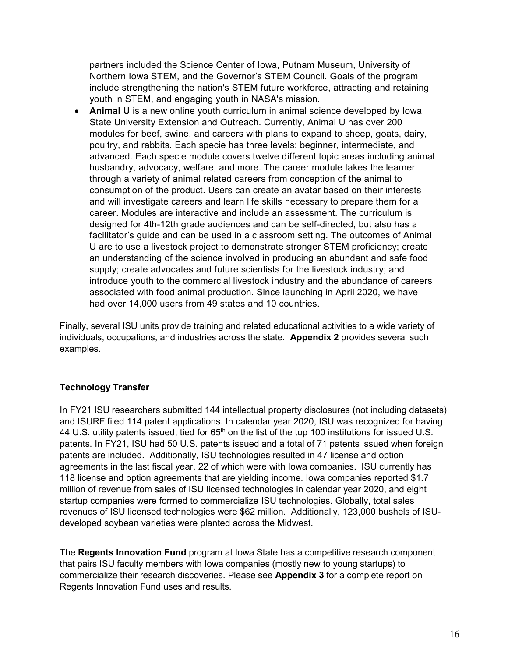partners included the Science Center of Iowa, Putnam Museum, University of Northern Iowa STEM, and the Governor's STEM Council. Goals of the program include strengthening the nation's STEM future workforce, attracting and retaining youth in STEM, and engaging youth in NASA's mission.

• **Animal U** is a new online youth curriculum in animal science developed by Iowa State University Extension and Outreach. Currently, Animal U has over 200 modules for beef, swine, and careers with plans to expand to sheep, goats, dairy, poultry, and rabbits. Each specie has three levels: beginner, intermediate, and advanced. Each specie module covers twelve different topic areas including animal husbandry, advocacy, welfare, and more. The career module takes the learner through a variety of animal related careers from conception of the animal to consumption of the product. Users can create an avatar based on their interests and will investigate careers and learn life skills necessary to prepare them for a career. Modules are interactive and include an assessment. The curriculum is designed for 4th-12th grade audiences and can be self-directed, but also has a facilitator's guide and can be used in a classroom setting. The outcomes of Animal U are to use a livestock project to demonstrate stronger STEM proficiency; create an understanding of the science involved in producing an abundant and safe food supply; create advocates and future scientists for the livestock industry; and introduce youth to the commercial livestock industry and the abundance of careers associated with food animal production. Since launching in April 2020, we have had over 14,000 users from 49 states and 10 countries.

Finally, several ISU units provide training and related educational activities to a wide variety of individuals, occupations, and industries across the state. **Appendix 2** provides several such examples.

#### **Technology Transfer**

In FY21 ISU researchers submitted 144 intellectual property disclosures (not including datasets) and ISURF filed 114 patent applications. In calendar year 2020, ISU was recognized for having 44 U.S. utility patents issued, tied for 65<sup>th</sup> on the list of the top 100 institutions for issued U.S. patents. In FY21, ISU had 50 U.S. patents issued and a total of 71 patents issued when foreign patents are included. Additionally, ISU technologies resulted in 47 license and option agreements in the last fiscal year, 22 of which were with Iowa companies. ISU currently has 118 license and option agreements that are yielding income. Iowa companies reported \$1.7 million of revenue from sales of ISU licensed technologies in calendar year 2020, and eight startup companies were formed to commercialize ISU technologies. Globally, total sales revenues of ISU licensed technologies were \$62 million. Additionally, 123,000 bushels of ISUdeveloped soybean varieties were planted across the Midwest.

The **Regents Innovation Fund** program at Iowa State has a competitive research component that pairs ISU faculty members with Iowa companies (mostly new to young startups) to commercialize their research discoveries. Please see **Appendix 3** for a complete report on Regents Innovation Fund uses and results.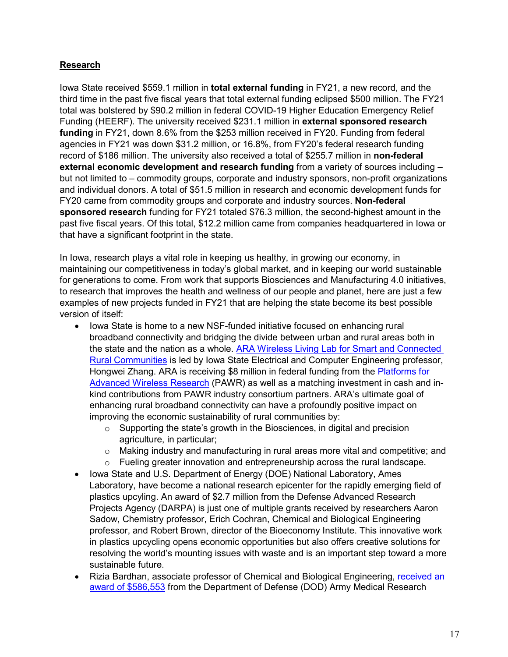#### **Research**

Iowa State received \$559.1 million in **total external funding** in FY21, a new record, and the third time in the past five fiscal years that total external funding eclipsed \$500 million. The FY21 total was bolstered by \$90.2 million in federal COVID-19 Higher Education Emergency Relief Funding (HEERF). The university received \$231.1 million in **external sponsored research funding** in FY21, down 8.6% from the \$253 million received in FY20. Funding from federal agencies in FY21 was down \$31.2 million, or 16.8%, from FY20's federal research funding record of \$186 million. The university also received a total of \$255.7 million in **non-federal external economic development and research funding** from a variety of sources including – but not limited to – commodity groups, corporate and industry sponsors, non-profit organizations and individual donors. A total of \$51.5 million in research and economic development funds for FY20 came from commodity groups and corporate and industry sources. **Non-federal sponsored research** funding for FY21 totaled \$76.3 million, the second-highest amount in the past five fiscal years. Of this total, \$12.2 million came from companies headquartered in Iowa or that have a significant footprint in the state.

In Iowa, research plays a vital role in keeping us healthy, in growing our economy, in maintaining our competitiveness in today's global market, and in keeping our world sustainable for generations to come. From work that supports Biosciences and Manufacturing 4.0 initiatives, to research that improves the health and wellness of our people and planet, here are just a few examples of new projects funded in FY21 that are helping the state become its best possible version of itself:

- Iowa State is home to a new NSF-funded initiative focused on enhancing rural broadband connectivity and bridging the divide between urban and rural areas both in the state and the nation as a whole. [ARA Wireless Living Lab for Smart and Connected](https://arawireless.org/)  [Rural Communities](https://arawireless.org/) is led by Iowa State Electrical and Computer Engineering professor, Hongwei Zhang. ARA is receiving \$8 million in federal funding from the [Platforms for](https://advancedwireless.org/)  [Advanced Wireless Research](https://advancedwireless.org/) (PAWR) as well as a matching investment in cash and inkind contributions from PAWR industry consortium partners. ARA's ultimate goal of enhancing rural broadband connectivity can have a profoundly positive impact on improving the economic sustainability of rural communities by:
	- $\circ$  Supporting the state's growth in the Biosciences, in digital and precision agriculture, in particular;
	- o Making industry and manufacturing in rural areas more vital and competitive; and
	- $\circ$  Fueling greater innovation and entrepreneurship across the rural landscape.
- Iowa State and U.S. Department of Energy (DOE) National Laboratory, Ames Laboratory, have become a national research epicenter for the rapidly emerging field of plastics upcyling. An award of \$2.7 million from the Defense Advanced Research Projects Agency (DARPA) is just one of multiple grants received by researchers Aaron Sadow, Chemistry professor, Erich Cochran, Chemical and Biological Engineering professor, and Robert Brown, director of the Bioeconomy Institute. This innovative work in plastics upcycling opens economic opportunities but also offers creative solutions for resolving the world's mounting issues with waste and is an important step toward a more sustainable future.
- Rizia Bardhan, associate professor of Chemical and Biological Engineering, [received an](https://news.engineering.iastate.edu/2020/09/30/rizia-bardhan-receives-three-research-awards-totaling-2-25-million-to-advance-engineered-medicine-innovations/)  [award of \\$586,553](https://news.engineering.iastate.edu/2020/09/30/rizia-bardhan-receives-three-research-awards-totaling-2-25-million-to-advance-engineered-medicine-innovations/) from the Department of Defense (DOD) Army Medical Research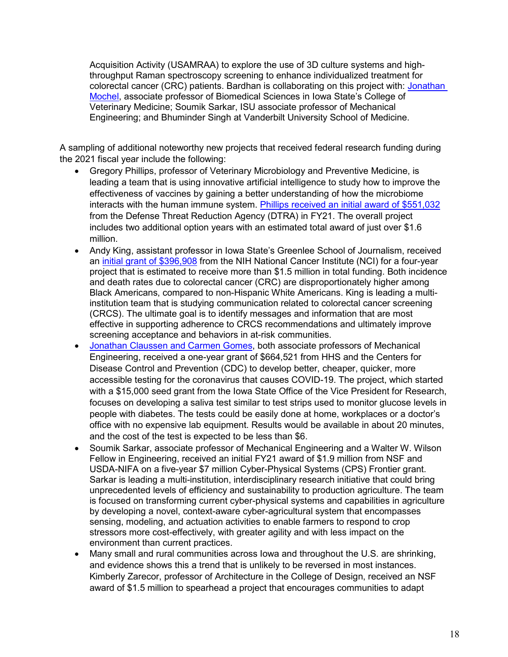Acquisition Activity (USAMRAA) to explore the use of 3D culture systems and highthroughput Raman spectroscopy screening to enhance individualized treatment for colorectal cancer (CRC) patients. Bardhan is collaborating on this project with: [Jonathan](https://www.research.iastate.edu/news/i-corps-experience-helped-chart-3d-health-solutions-path-to-startup-success/)  [Mochel,](https://www.research.iastate.edu/news/i-corps-experience-helped-chart-3d-health-solutions-path-to-startup-success/) associate professor of Biomedical Sciences in Iowa State's College of Veterinary Medicine; Soumik Sarkar, ISU associate professor of Mechanical Engineering; and Bhuminder Singh at Vanderbilt University School of Medicine.

A sampling of additional noteworthy new projects that received federal research funding during the 2021 fiscal year include the following:

- Gregory Phillips, professor of Veterinary Microbiology and Preventive Medicine, is leading a team that is using innovative artificial intelligence to study how to improve the effectiveness of vaccines by gaining a better understanding of how the microbiome interacts with the human immune system. [Phillips received an initial award of \\$551,032](https://www.news.iastate.edu/news/2021/06/29/vaccinemicrobiome) from the Defense Threat Reduction Agency (DTRA) in FY21. The overall project includes two additional option years with an estimated total award of just over \$1.6 million.
- Andy King, assistant professor in Iowa State's Greenlee School of Journalism, received an [initial grant of \\$396,908](https://www.research.iastate.edu/news/andy-j-king-receives-national-cancer-institute-grant-to-study-colon-cancer-screening-messaging/) from the NIH National Cancer Institute (NCI) for a four-year project that is estimated to receive more than \$1.5 million in total funding. Both incidence and death rates due to colorectal cancer (CRC) are disproportionately higher among Black Americans, compared to non-Hispanic White Americans. King is leading a multiinstitution team that is studying communication related to colorectal cancer screening (CRCS). The ultimate goal is to identify messages and information that are most effective in supporting adherence to CRCS recommendations and ultimately improve screening acceptance and behaviors in at-risk communities.
- [Jonathan Claussen and Carmen Gomes,](https://www.news.iastate.edu/news/2021/03/23/graphenecovidtests) both associate professors of Mechanical Engineering, received a one-year grant of \$664,521 from HHS and the Centers for Disease Control and Prevention (CDC) to develop better, cheaper, quicker, more accessible testing for the coronavirus that causes COVID-19. The project, which started with a \$15,000 seed grant from the Iowa State Office of the Vice President for Research, focuses on developing a saliva test similar to test strips used to monitor glucose levels in people with diabetes. The tests could be easily done at home, workplaces or a doctor's office with no expensive lab equipment. Results would be available in about 20 minutes, and the cost of the test is expected to be less than \$6.
- Soumik Sarkar, associate professor of Mechanical Engineering and a Walter W. Wilson Fellow in Engineering, received an initial FY21 award of \$1.9 million from NSF and USDA-NIFA on a five-year \$7 million Cyber-Physical Systems (CPS) Frontier grant. Sarkar is leading a multi-institution, interdisciplinary research initiative that could bring unprecedented levels of efficiency and sustainability to production agriculture. The team is focused on transforming current cyber-physical systems and capabilities in agriculture by developing a novel, context-aware cyber-agricultural system that encompasses sensing, modeling, and actuation activities to enable farmers to respond to crop stressors more cost-effectively, with greater agility and with less impact on the environment than current practices.
- Many small and rural communities across Iowa and throughout the U.S. are shrinking, and evidence shows this a trend that is unlikely to be reversed in most instances. Kimberly Zarecor, professor of Architecture in the College of Design, received an NSF award of \$1.5 million to spearhead a project that encourages communities to adapt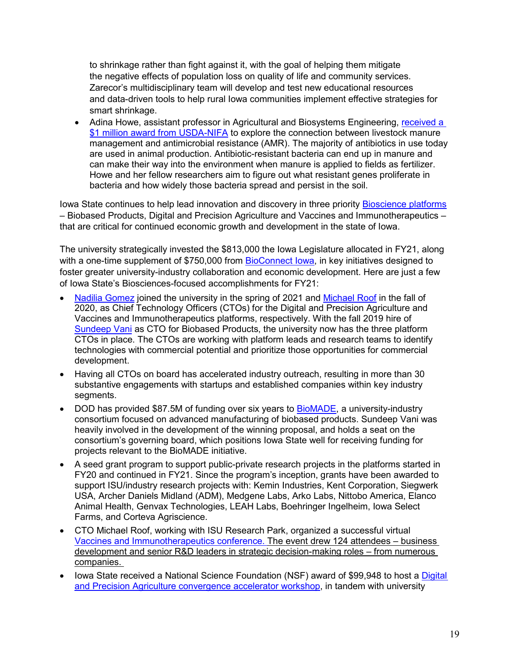to shrinkage rather than fight against it, with the goal of helping them mitigate the negative effects of population loss on quality of life and community services. Zarecor's multidisciplinary team will develop and test new educational resources and data-driven tools to help rural Iowa communities implement effective strategies for smart shrinkage.

• Adina Howe, assistant professor in Agricultural and Biosystems Engineering, [received a](https://www.news.iastate.edu/news/2021/02/16/antibioticresistancemanagement)  [\\$1 million award from USDA-NIFA](https://www.news.iastate.edu/news/2021/02/16/antibioticresistancemanagement) to explore the connection between livestock manure management and antimicrobial resistance (AMR). The majority of antibiotics in use today are used in animal production. Antibiotic-resistant bacteria can end up in manure and can make their way into the environment when manure is applied to fields as fertilizer. Howe and her fellow researchers aim to figure out what resistant genes proliferate in bacteria and how widely those bacteria spread and persist in the soil.

Iowa State continues to help lead innovation and discovery in three priority **Bioscience platforms** – Biobased Products, Digital and Precision Agriculture and Vaccines and Immunotherapeutics – that are critical for continued economic growth and development in the state of Iowa.

The university strategically invested the \$813,000 the Iowa Legislature allocated in FY21, along with a one-time supplement of \$750,000 from BioConnect lowa, in key initiatives designed to foster greater university-industry collaboration and economic development. Here are just a few of Iowa State's Biosciences-focused accomplishments for FY21:

- [Nadilia Gomez](https://www.research.iastate.edu/news/nadilia-gomez-joins-iowa-state-as-digital-and-precision-agriculture-cto/) joined the university in the spring of 2021 and [Michael Roof](https://www.research.iastate.edu/news/michael-roof-joins-iowa-state-as-cto-for-the-vaccines-and-immunotherapeutics-biosciences-platform/) in the fall of 2020, as Chief Technology Officers (CTOs) for the Digital and Precision Agriculture and Vaccines and Immunotherapeutics platforms, respectively. With the fall 2019 hire of [Sundeep Vani](https://www.research.iastate.edu/news/sundeep-vani-joins-iowa-state-university-as-chief-technology-officer-for-biobased-products/) as CTO for Biobased Products, the university now has the three platform CTOs in place. The CTOs are working with platform leads and research teams to identify technologies with commercial potential and prioritize those opportunities for commercial development.
- Having all CTOs on board has accelerated industry outreach, resulting in more than 30 substantive engagements with startups and established companies within key industry segments.
- DOD has provided \$87.5M of funding over six years to [BioMADE,](https://www.manufacturingusa.com/institutes/biomade) a university-industry consortium focused on advanced manufacturing of biobased products. Sundeep Vani was heavily involved in the development of the winning proposal, and holds a seat on the consortium's governing board, which positions Iowa State well for receiving funding for projects relevant to the BioMADE initiative.
- A seed grant program to support public-private research projects in the platforms started in FY20 and continued in FY21. Since the program's inception, grants have been awarded to support ISU/industry research projects with: Kemin Industries, Kent Corporation, Siegwerk USA, Archer Daniels Midland (ADM), Medgene Labs, Arko Labs, Nittobo America, Elanco Animal Health, Genvax Technologies, LEAH Labs, Boehringer Ingelheim, Iowa Select Farms, and Corteva Agriscience.
- CTO Michael Roof, working with ISU Research Park, organized a successful virtual [Vaccines and Immunotherapeutics conference.](https://www.isupark.org/news-events/2021-vaccines-and-immunotherapeutics-conference/) The event drew 124 attendees – business development and senior R&D leaders in strategic decision-making roles – from numerous companies.
- Iowa State received a National Science Foundation (NSF) award of \$99,948 to host a [Digital](https://www.research.iastate.edu/digital-precision-agriculture/)  [and Precision Agriculture convergence accelerator workshop,](https://www.research.iastate.edu/digital-precision-agriculture/) in tandem with university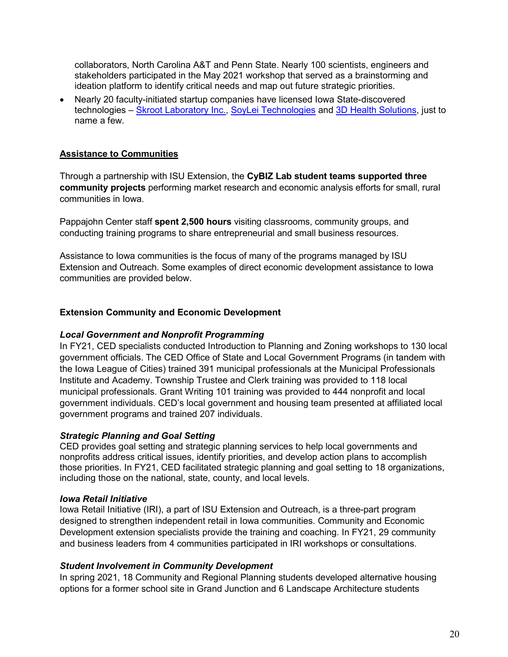collaborators, North Carolina A&T and Penn State. Nearly 100 scientists, engineers and stakeholders participated in the May 2021 workshop that served as a brainstorming and ideation platform to identify critical needs and map out future strategic priorities.

• Nearly 20 faculty-initiated startup companies have licensed Iowa State-discovered technologies – [Skroot Laboratory Inc.,](https://www.news.iastate.edu/news/2021/04/26/skroot) [SoyLei Technologies](https://soylei.com/) and [3D Health Solutions,](https://www.research.iastate.edu/news/i-corps-experience-helped-chart-3d-health-solutions-path-to-startup-success/) just to name a few.

#### **Assistance to Communities**

Through a partnership with ISU Extension, the **CyBIZ Lab student teams supported three community projects** performing market research and economic analysis efforts for small, rural communities in Iowa.

Pappajohn Center staff **spent 2,500 hours** visiting classrooms, community groups, and conducting training programs to share entrepreneurial and small business resources.

Assistance to Iowa communities is the focus of many of the programs managed by ISU Extension and Outreach. Some examples of direct economic development assistance to Iowa communities are provided below.

#### **Extension Community and Economic Development**

#### *Local Government and Nonprofit Programming*

In FY21, CED specialists conducted Introduction to Planning and Zoning workshops to 130 local government officials. The CED Office of State and Local Government Programs (in tandem with the Iowa League of Cities) trained 391 municipal professionals at the Municipal Professionals Institute and Academy. Township Trustee and Clerk training was provided to 118 local municipal professionals. Grant Writing 101 training was provided to 444 nonprofit and local government individuals. CED's local government and housing team presented at affiliated local government programs and trained 207 individuals.

#### *Strategic Planning and Goal Setting*

CED provides goal setting and strategic planning services to help local governments and nonprofits address critical issues, identify priorities, and develop action plans to accomplish those priorities. In FY21, CED facilitated strategic planning and goal setting to 18 organizations, including those on the national, state, county, and local levels.

#### *Iowa Retail Initiative*

Iowa Retail Initiative (IRI), a part of ISU Extension and Outreach, is a three-part program designed to strengthen independent retail in Iowa communities. Community and Economic Development extension specialists provide the training and coaching. In FY21, 29 community and business leaders from 4 communities participated in IRI workshops or consultations.

#### *Student Involvement in Community Development*

In spring 2021, 18 Community and Regional Planning students developed alternative housing options for a former school site in Grand Junction and 6 Landscape Architecture students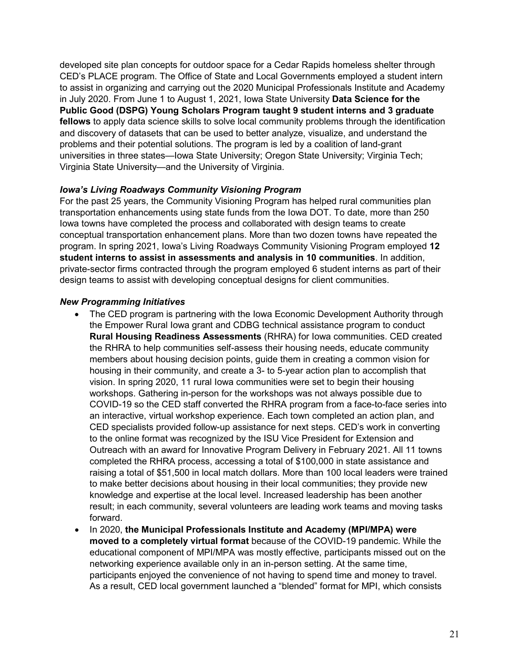developed site plan concepts for outdoor space for a Cedar Rapids homeless shelter through CED's PLACE program. The Office of State and Local Governments employed a student intern to assist in organizing and carrying out the 2020 Municipal Professionals Institute and Academy in July 2020. From June 1 to August 1, 2021, Iowa State University **Data Science for the Public Good (DSPG) Young Scholars Program taught 9 student interns and 3 graduate fellows** to apply data science skills to solve local community problems through the identification and discovery of datasets that can be used to better analyze, visualize, and understand the problems and their potential solutions. The program is led by a coalition of land-grant universities in three states—Iowa State University; Oregon State University; Virginia Tech; Virginia State University—and the University of Virginia.

#### *Iowa's Living Roadways Community Visioning Program*

For the past 25 years, the Community Visioning Program has helped rural communities plan transportation enhancements using state funds from the Iowa DOT. To date, more than 250 Iowa towns have completed the process and collaborated with design teams to create conceptual transportation enhancement plans. More than two dozen towns have repeated the program. In spring 2021, Iowa's Living Roadways Community Visioning Program employed **12 student interns to assist in assessments and analysis in 10 communities**. In addition, private-sector firms contracted through the program employed 6 student interns as part of their design teams to assist with developing conceptual designs for client communities.

#### *New Programming Initiatives*

- The CED program is partnering with the Iowa Economic Development Authority through the Empower Rural Iowa grant and CDBG technical assistance program to conduct **Rural Housing Readiness Assessments** (RHRA) for Iowa communities. CED created the RHRA to help communities self-assess their housing needs, educate community members about housing decision points, guide them in creating a common vision for housing in their community, and create a 3- to 5-year action plan to accomplish that vision. In spring 2020, 11 rural Iowa communities were set to begin their housing workshops. Gathering in-person for the workshops was not always possible due to COVID-19 so the CED staff converted the RHRA program from a face-to-face series into an interactive, virtual workshop experience. Each town completed an action plan, and CED specialists provided follow-up assistance for next steps. CED's work in converting to the online format was recognized by the ISU Vice President for Extension and Outreach with an award for Innovative Program Delivery in February 2021. All 11 towns completed the RHRA process, accessing a total of \$100,000 in state assistance and raising a total of \$51,500 in local match dollars. More than 100 local leaders were trained to make better decisions about housing in their local communities; they provide new knowledge and expertise at the local level. Increased leadership has been another result; in each community, several volunteers are leading work teams and moving tasks forward.
- In 2020, **the Municipal Professionals Institute and Academy (MPI/MPA) were moved to a completely virtual format** because of the COVID-19 pandemic. While the educational component of MPI/MPA was mostly effective, participants missed out on the networking experience available only in an in-person setting. At the same time, participants enjoyed the convenience of not having to spend time and money to travel. As a result, CED local government launched a "blended" format for MPI, which consists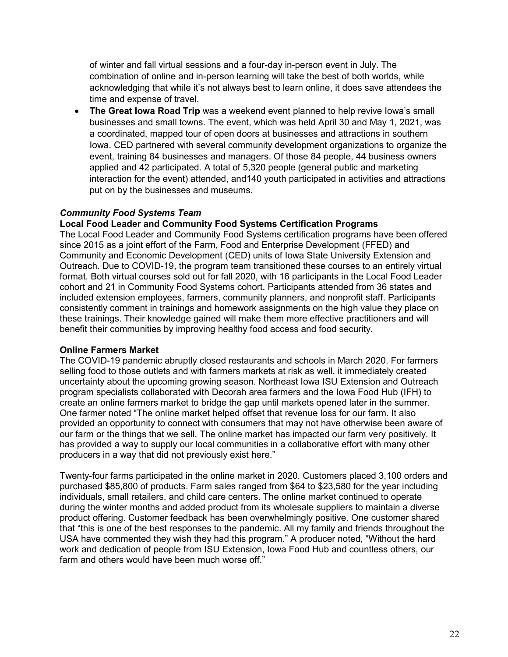of winter and fall virtual sessions and a four-day in-person event in July. The combination of online and in-person learning will take the best of both worlds, while acknowledging that while it's not always best to learn online, it does save attendees the time and expense of travel.

• **The Great Iowa Road Trip** was a weekend event planned to help revive Iowa's small businesses and small towns. The event, which was held April 30 and May 1, 2021, was a coordinated, mapped tour of open doors at businesses and attractions in southern Iowa. CED partnered with several community development organizations to organize the event, training 84 businesses and managers. Of those 84 people, 44 business owners applied and 42 participated. A total of 5,320 people (general public and marketing interaction for the event) attended, and140 youth participated in activities and attractions put on by the businesses and museums.

#### *Community Food Systems Team*

#### **Local Food Leader and Community Food Systems Certification Programs**

The Local Food Leader and Community Food Systems certification programs have been offered since 2015 as a joint effort of the Farm, Food and Enterprise Development (FFED) and Community and Economic Development (CED) units of Iowa State University Extension and Outreach. Due to COVID-19, the program team transitioned these courses to an entirely virtual format. Both virtual courses sold out for fall 2020, with 16 participants in the Local Food Leader cohort and 21 in Community Food Systems cohort. Participants attended from 36 states and included extension employees, farmers, community planners, and nonprofit staff. Participants consistently comment in trainings and homework assignments on the high value they place on these trainings. Their knowledge gained will make them more effective practitioners and will benefit their communities by improving healthy food access and food security.

#### **Online Farmers Market**

The COVID-19 pandemic abruptly closed restaurants and schools in March 2020. For farmers selling food to those outlets and with farmers markets at risk as well, it immediately created uncertainty about the upcoming growing season. Northeast Iowa ISU Extension and Outreach program specialists collaborated with Decorah area farmers and the Iowa Food Hub (IFH) to create an online farmers market to bridge the gap until markets opened later in the summer. One farmer noted "The online market helped offset that revenue loss for our farm. It also provided an opportunity to connect with consumers that may not have otherwise been aware of our farm or the things that we sell. The online market has impacted our farm very positively. It has provided a way to supply our local communities in a collaborative effort with many other producers in a way that did not previously exist here."

Twenty-four farms participated in the online market in 2020. Customers placed 3,100 orders and purchased \$85,800 of products. Farm sales ranged from \$64 to \$23,580 for the year including individuals, small retailers, and child care centers. The online market continued to operate during the winter months and added product from its wholesale suppliers to maintain a diverse product offering. Customer feedback has been overwhelmingly positive. One customer shared that "this is one of the best responses to the pandemic. All my family and friends throughout the USA have commented they wish they had this program." A producer noted, "Without the hard work and dedication of people from ISU Extension, Iowa Food Hub and countless others, our farm and others would have been much worse off."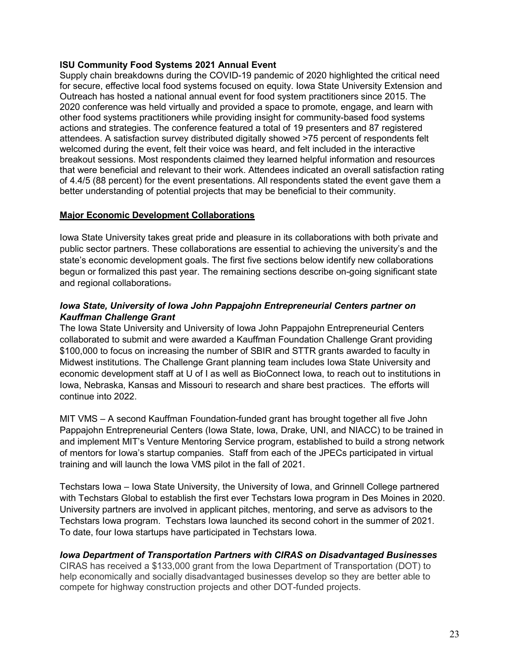#### **ISU Community Food Systems 2021 Annual Event**

Supply chain breakdowns during the COVID-19 pandemic of 2020 highlighted the critical need for secure, effective local food systems focused on equity. Iowa State University Extension and Outreach has hosted a national annual event for food system practitioners since 2015. The 2020 conference was held virtually and provided a space to promote, engage, and learn with other food systems practitioners while providing insight for community-based food systems actions and strategies. The conference featured a total of 19 presenters and 87 registered attendees. A satisfaction survey distributed digitally showed >75 percent of respondents felt welcomed during the event, felt their voice was heard, and felt included in the interactive breakout sessions. Most respondents claimed they learned helpful information and resources that were beneficial and relevant to their work. Attendees indicated an overall satisfaction rating of 4.4/5 (88 percent) for the event presentations. All respondents stated the event gave them a better understanding of potential projects that may be beneficial to their community.

#### **Major Economic Development Collaborations**

Iowa State University takes great pride and pleasure in its collaborations with both private and public sector partners. These collaborations are essential to achieving the university's and the state's economic development goals. The first five sections below identify new collaborations begun or formalized this past year. The remaining sections describe on-going significant state and regional collaborations.

#### *Iowa State, University of Iowa John Pappajohn Entrepreneurial Centers partner on Kauffman Challenge Grant*

The Iowa State University and University of Iowa John Pappajohn Entrepreneurial Centers collaborated to submit and were awarded a Kauffman Foundation Challenge Grant providing \$100,000 to focus on increasing the number of SBIR and STTR grants awarded to faculty in Midwest institutions. The Challenge Grant planning team includes Iowa State University and economic development staff at U of I as well as BioConnect Iowa, to reach out to institutions in Iowa, Nebraska, Kansas and Missouri to research and share best practices. The efforts will continue into 2022.

MIT VMS – A second Kauffman Foundation-funded grant has brought together all five John Pappajohn Entrepreneurial Centers (Iowa State, Iowa, Drake, UNI, and NIACC) to be trained in and implement MIT's Venture Mentoring Service program, established to build a strong network of mentors for Iowa's startup companies. Staff from each of the JPECs participated in virtual training and will launch the Iowa VMS pilot in the fall of 2021.

Techstars Iowa – Iowa State University, the University of Iowa, and Grinnell College partnered with Techstars Global to establish the first ever Techstars Iowa program in Des Moines in 2020. University partners are involved in applicant pitches, mentoring, and serve as advisors to the Techstars Iowa program. Techstars Iowa launched its second cohort in the summer of 2021. To date, four Iowa startups have participated in Techstars Iowa.

#### *Iowa Department of Transportation Partners with CIRAS on Disadvantaged Businesses*

CIRAS has received a \$133,000 grant from the Iowa Department of Transportation (DOT) to help economically and socially disadvantaged businesses develop so they are better able to compete for highway construction projects and other DOT-funded projects.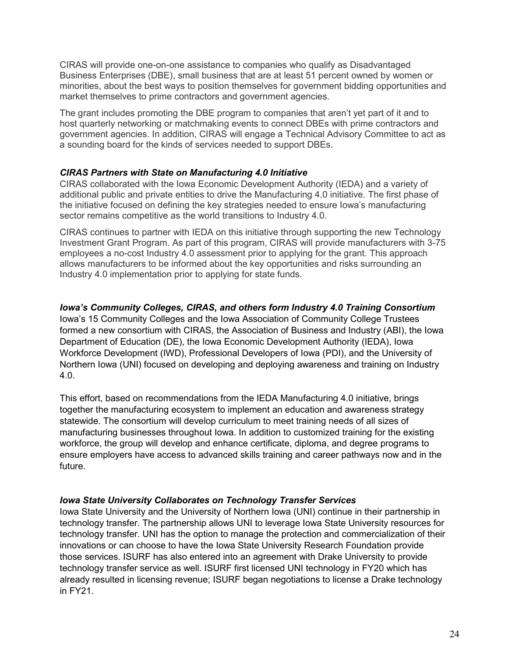CIRAS will provide one-on-one assistance to companies who qualify as Disadvantaged Business Enterprises (DBE), small business that are at least 51 percent owned by women or minorities, about the best ways to position themselves for government bidding opportunities and market themselves to prime contractors and government agencies.

The grant includes promoting the DBE program to companies that aren't yet part of it and to host quarterly networking or matchmaking events to connect DBEs with prime contractors and government agencies. In addition, CIRAS will engage a Technical Advisory Committee to act as a sounding board for the kinds of services needed to support DBEs.

#### *CIRAS Partners with State on Manufacturing 4.0 Initiative*

CIRAS collaborated with the Iowa Economic Development Authority (IEDA) and a variety of additional public and private entities to drive the Manufacturing 4.0 initiative. The first phase of the initiative focused on defining the key strategies needed to ensure Iowa's manufacturing sector remains competitive as the world transitions to Industry 4.0.

CIRAS continues to partner with IEDA on this initiative through supporting the new Technology Investment Grant Program. As part of this program, CIRAS will provide manufacturers with 3-75 employees a no-cost Industry 4.0 assessment prior to applying for the grant. This approach allows manufacturers to be informed about the key opportunities and risks surrounding an Industry 4.0 implementation prior to applying for state funds.

#### *Iowa's Community Colleges, CIRAS, and others form Industry 4.0 Training Consortium*

Iowa's 15 Community Colleges and the Iowa Association of Community College Trustees formed a new consortium with CIRAS, the Association of Business and Industry (ABI), the Iowa Department of Education (DE), the Iowa Economic Development Authority (IEDA), Iowa Workforce Development (IWD), Professional Developers of Iowa (PDI), and the University of Northern Iowa (UNI) focused on developing and deploying awareness and training on Industry 4.0.

This effort, based on recommendations from the IEDA Manufacturing 4.0 initiative, brings together the manufacturing ecosystem to implement an education and awareness strategy statewide. The consortium will develop curriculum to meet training needs of all sizes of manufacturing businesses throughout Iowa. In addition to customized training for the existing workforce, the group will develop and enhance certificate, diploma, and degree programs to ensure employers have access to advanced skills training and career pathways now and in the future.

#### *Iowa State University Collaborates on Technology Transfer Services*

Iowa State University and the University of Northern Iowa (UNI) continue in their partnership in technology transfer. The partnership allows UNI to leverage Iowa State University resources for technology transfer. UNI has the option to manage the protection and commercialization of their innovations or can choose to have the Iowa State University Research Foundation provide those services. ISURF has also entered into an agreement with Drake University to provide technology transfer service as well. ISURF first licensed UNI technology in FY20 which has already resulted in licensing revenue; ISURF began negotiations to license a Drake technology in FY21.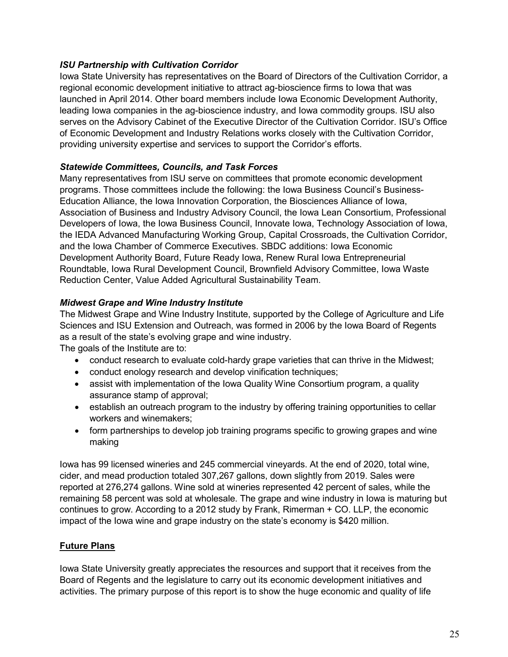#### *ISU Partnership with Cultivation Corridor*

Iowa State University has representatives on the Board of Directors of the Cultivation Corridor, a regional economic development initiative to attract ag-bioscience firms to Iowa that was launched in April 2014. Other board members include Iowa Economic Development Authority, leading Iowa companies in the ag-bioscience industry, and Iowa commodity groups. ISU also serves on the Advisory Cabinet of the Executive Director of the Cultivation Corridor. ISU's Office of Economic Development and Industry Relations works closely with the Cultivation Corridor, providing university expertise and services to support the Corridor's efforts.

#### *Statewide Committees, Councils, and Task Forces*

Many representatives from ISU serve on committees that promote economic development programs. Those committees include the following: the Iowa Business Council's Business-Education Alliance, the Iowa Innovation Corporation, the Biosciences Alliance of Iowa, Association of Business and Industry Advisory Council, the Iowa Lean Consortium, Professional Developers of Iowa, the Iowa Business Council, Innovate Iowa, Technology Association of Iowa, the IEDA Advanced Manufacturing Working Group, Capital Crossroads, the Cultivation Corridor, and the Iowa Chamber of Commerce Executives. SBDC additions: Iowa Economic Development Authority Board, Future Ready Iowa, Renew Rural Iowa Entrepreneurial Roundtable, Iowa Rural Development Council, Brownfield Advisory Committee, Iowa Waste Reduction Center, Value Added Agricultural Sustainability Team.

#### *Midwest Grape and Wine Industry Institute*

The Midwest Grape and Wine Industry Institute, supported by the College of Agriculture and Life Sciences and ISU Extension and Outreach, was formed in 2006 by the Iowa Board of Regents as a result of the state's evolving grape and wine industry.

The goals of the Institute are to:

- conduct research to evaluate cold-hardy grape varieties that can thrive in the Midwest;
- conduct enology research and develop vinification techniques;
- assist with implementation of the Iowa Quality Wine Consortium program, a quality assurance stamp of approval;
- establish an outreach program to the industry by offering training opportunities to cellar workers and winemakers;
- form partnerships to develop job training programs specific to growing grapes and wine making

Iowa has 99 licensed wineries and 245 commercial vineyards. At the end of 2020, total wine, cider, and mead production totaled 307,267 gallons, down slightly from 2019. Sales were reported at 276,274 gallons. Wine sold at wineries represented 42 percent of sales, while the remaining 58 percent was sold at wholesale. The grape and wine industry in Iowa is maturing but continues to grow. According to a 2012 study by Frank, Rimerman + CO. LLP, the economic impact of the Iowa wine and grape industry on the state's economy is \$420 million.

#### **Future Plans**

Iowa State University greatly appreciates the resources and support that it receives from the Board of Regents and the legislature to carry out its economic development initiatives and activities. The primary purpose of this report is to show the huge economic and quality of life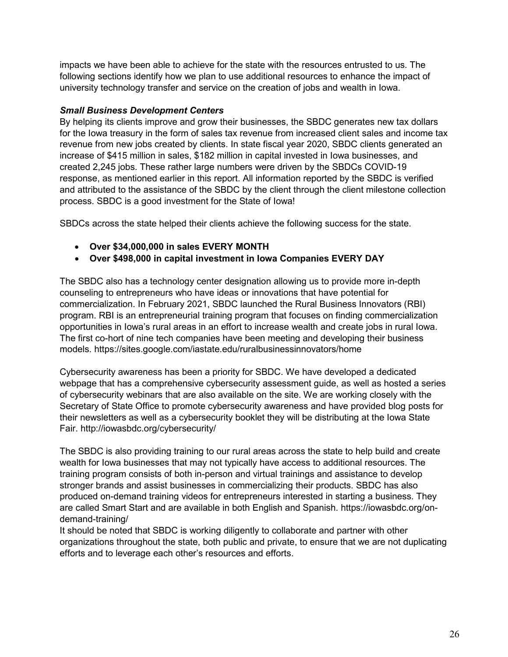impacts we have been able to achieve for the state with the resources entrusted to us. The following sections identify how we plan to use additional resources to enhance the impact of university technology transfer and service on the creation of jobs and wealth in Iowa.

#### *Small Business Development Centers*

By helping its clients improve and grow their businesses, the SBDC generates new tax dollars for the Iowa treasury in the form of sales tax revenue from increased client sales and income tax revenue from new jobs created by clients. In state fiscal year 2020, SBDC clients generated an increase of \$415 million in sales, \$182 million in capital invested in Iowa businesses, and created 2,245 jobs. These rather large numbers were driven by the SBDCs COVID-19 response, as mentioned earlier in this report. All information reported by the SBDC is verified and attributed to the assistance of the SBDC by the client through the client milestone collection process. SBDC is a good investment for the State of Iowa!

SBDCs across the state helped their clients achieve the following success for the state.

- **Over \$34,000,000 in sales EVERY MONTH**
- **Over \$498,000 in capital investment in Iowa Companies EVERY DAY**

The SBDC also has a technology center designation allowing us to provide more in-depth counseling to entrepreneurs who have ideas or innovations that have potential for commercialization. In February 2021, SBDC launched the Rural Business Innovators (RBI) program. RBI is an entrepreneurial training program that focuses on finding commercialization opportunities in Iowa's rural areas in an effort to increase wealth and create jobs in rural Iowa. The first co-hort of nine tech companies have been meeting and developing their business models. https://sites.google.com/iastate.edu/ruralbusinessinnovators/home

Cybersecurity awareness has been a priority for SBDC. We have developed a dedicated webpage that has a comprehensive cybersecurity assessment guide, as well as hosted a series of cybersecurity webinars that are also available on the site. We are working closely with the Secretary of State Office to promote cybersecurity awareness and have provided blog posts for their newsletters as well as a cybersecurity booklet they will be distributing at the Iowa State Fair. http://iowasbdc.org/cybersecurity/

The SBDC is also providing training to our rural areas across the state to help build and create wealth for Iowa businesses that may not typically have access to additional resources. The training program consists of both in-person and virtual trainings and assistance to develop stronger brands and assist businesses in commercializing their products. SBDC has also produced on-demand training videos for entrepreneurs interested in starting a business. They are called Smart Start and are available in both English and Spanish. https://iowasbdc.org/ondemand-training/

It should be noted that SBDC is working diligently to collaborate and partner with other organizations throughout the state, both public and private, to ensure that we are not duplicating efforts and to leverage each other's resources and efforts.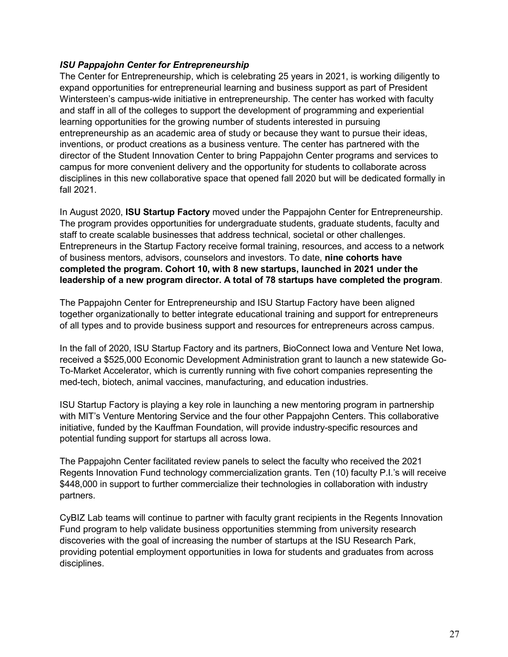#### *ISU Pappajohn Center for Entrepreneurship*

The Center for Entrepreneurship, which is celebrating 25 years in 2021, is working diligently to expand opportunities for entrepreneurial learning and business support as part of President Wintersteen's campus-wide initiative in entrepreneurship. The center has worked with faculty and staff in all of the colleges to support the development of programming and experiential learning opportunities for the growing number of students interested in pursuing entrepreneurship as an academic area of study or because they want to pursue their ideas, inventions, or product creations as a business venture. The center has partnered with the director of the Student Innovation Center to bring Pappajohn Center programs and services to campus for more convenient delivery and the opportunity for students to collaborate across disciplines in this new collaborative space that opened fall 2020 but will be dedicated formally in fall 2021.

In August 2020, **ISU Startup Factory** moved under the Pappajohn Center for Entrepreneurship. The program provides opportunities for undergraduate students, graduate students, faculty and staff to create scalable businesses that address technical, societal or other challenges. Entrepreneurs in the Startup Factory receive formal training, resources, and access to a network of business mentors, advisors, counselors and investors. To date, **nine cohorts have completed the program. Cohort 10, with 8 new startups, launched in 2021 under the leadership of a new program director. A total of 78 startups have completed the program**.

The Pappajohn Center for Entrepreneurship and ISU Startup Factory have been aligned together organizationally to better integrate educational training and support for entrepreneurs of all types and to provide business support and resources for entrepreneurs across campus.

In the fall of 2020, ISU Startup Factory and its partners, BioConnect Iowa and Venture Net Iowa, received a \$525,000 Economic Development Administration grant to launch a new statewide Go-To-Market Accelerator, which is currently running with five cohort companies representing the med-tech, biotech, animal vaccines, manufacturing, and education industries.

ISU Startup Factory is playing a key role in launching a new mentoring program in partnership with MIT's Venture Mentoring Service and the four other Pappajohn Centers. This collaborative initiative, funded by the Kauffman Foundation, will provide industry-specific resources and potential funding support for startups all across Iowa.

The Pappajohn Center facilitated review panels to select the faculty who received the 2021 Regents Innovation Fund technology commercialization grants. Ten (10) faculty P.I.'s will receive \$448,000 in support to further commercialize their technologies in collaboration with industry partners.

CyBIZ Lab teams will continue to partner with faculty grant recipients in the Regents Innovation Fund program to help validate business opportunities stemming from university research discoveries with the goal of increasing the number of startups at the ISU Research Park, providing potential employment opportunities in Iowa for students and graduates from across disciplines.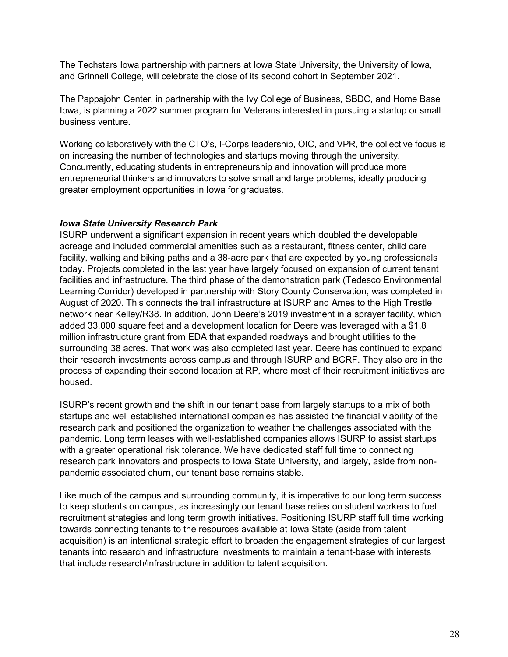The Techstars Iowa partnership with partners at Iowa State University, the University of Iowa, and Grinnell College, will celebrate the close of its second cohort in September 2021.

The Pappajohn Center, in partnership with the Ivy College of Business, SBDC, and Home Base Iowa, is planning a 2022 summer program for Veterans interested in pursuing a startup or small business venture.

Working collaboratively with the CTO's, I-Corps leadership, OIC, and VPR, the collective focus is on increasing the number of technologies and startups moving through the university. Concurrently, educating students in entrepreneurship and innovation will produce more entrepreneurial thinkers and innovators to solve small and large problems, ideally producing greater employment opportunities in Iowa for graduates.

#### *Iowa State University Research Park*

ISURP underwent a significant expansion in recent years which doubled the developable acreage and included commercial amenities such as a restaurant, fitness center, child care facility, walking and biking paths and a 38-acre park that are expected by young professionals today. Projects completed in the last year have largely focused on expansion of current tenant facilities and infrastructure. The third phase of the demonstration park (Tedesco Environmental Learning Corridor) developed in partnership with Story County Conservation, was completed in August of 2020. This connects the trail infrastructure at ISURP and Ames to the High Trestle network near Kelley/R38. In addition, John Deere's 2019 investment in a sprayer facility, which added 33,000 square feet and a development location for Deere was leveraged with a \$1.8 million infrastructure grant from EDA that expanded roadways and brought utilities to the surrounding 38 acres. That work was also completed last year. Deere has continued to expand their research investments across campus and through ISURP and BCRF. They also are in the process of expanding their second location at RP, where most of their recruitment initiatives are housed.

ISURP's recent growth and the shift in our tenant base from largely startups to a mix of both startups and well established international companies has assisted the financial viability of the research park and positioned the organization to weather the challenges associated with the pandemic. Long term leases with well-established companies allows ISURP to assist startups with a greater operational risk tolerance. We have dedicated staff full time to connecting research park innovators and prospects to Iowa State University, and largely, aside from nonpandemic associated churn, our tenant base remains stable.

Like much of the campus and surrounding community, it is imperative to our long term success to keep students on campus, as increasingly our tenant base relies on student workers to fuel recruitment strategies and long term growth initiatives. Positioning ISURP staff full time working towards connecting tenants to the resources available at Iowa State (aside from talent acquisition) is an intentional strategic effort to broaden the engagement strategies of our largest tenants into research and infrastructure investments to maintain a tenant-base with interests that include research/infrastructure in addition to talent acquisition.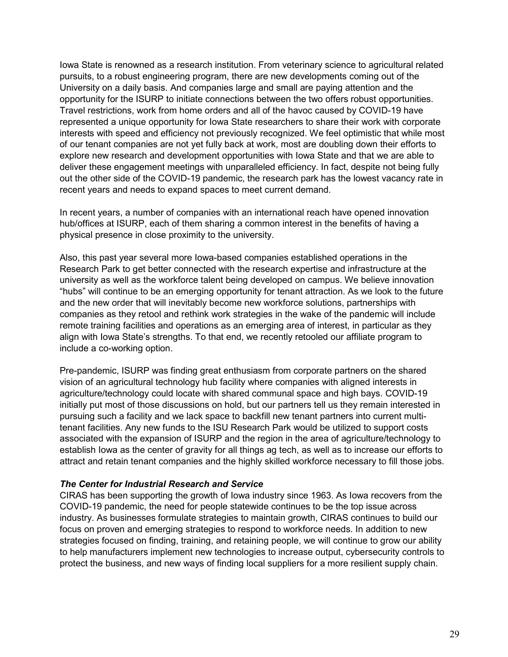Iowa State is renowned as a research institution. From veterinary science to agricultural related pursuits, to a robust engineering program, there are new developments coming out of the University on a daily basis. And companies large and small are paying attention and the opportunity for the ISURP to initiate connections between the two offers robust opportunities. Travel restrictions, work from home orders and all of the havoc caused by COVID-19 have represented a unique opportunity for Iowa State researchers to share their work with corporate interests with speed and efficiency not previously recognized. We feel optimistic that while most of our tenant companies are not yet fully back at work, most are doubling down their efforts to explore new research and development opportunities with Iowa State and that we are able to deliver these engagement meetings with unparalleled efficiency. In fact, despite not being fully out the other side of the COVID-19 pandemic, the research park has the lowest vacancy rate in recent years and needs to expand spaces to meet current demand.

In recent years, a number of companies with an international reach have opened innovation hub/offices at ISURP, each of them sharing a common interest in the benefits of having a physical presence in close proximity to the university.

Also, this past year several more Iowa-based companies established operations in the Research Park to get better connected with the research expertise and infrastructure at the university as well as the workforce talent being developed on campus. We believe innovation "hubs" will continue to be an emerging opportunity for tenant attraction. As we look to the future and the new order that will inevitably become new workforce solutions, partnerships with companies as they retool and rethink work strategies in the wake of the pandemic will include remote training facilities and operations as an emerging area of interest, in particular as they align with Iowa State's strengths. To that end, we recently retooled our affiliate program to include a co-working option.

Pre-pandemic, ISURP was finding great enthusiasm from corporate partners on the shared vision of an agricultural technology hub facility where companies with aligned interests in agriculture/technology could locate with shared communal space and high bays. COVID-19 initially put most of those discussions on hold, but our partners tell us they remain interested in pursuing such a facility and we lack space to backfill new tenant partners into current multitenant facilities. Any new funds to the ISU Research Park would be utilized to support costs associated with the expansion of ISURP and the region in the area of agriculture/technology to establish Iowa as the center of gravity for all things ag tech, as well as to increase our efforts to attract and retain tenant companies and the highly skilled workforce necessary to fill those jobs.

#### *The Center for Industrial Research and Service*

CIRAS has been supporting the growth of Iowa industry since 1963. As Iowa recovers from the COVID-19 pandemic, the need for people statewide continues to be the top issue across industry. As businesses formulate strategies to maintain growth, CIRAS continues to build our focus on proven and emerging strategies to respond to workforce needs. In addition to new strategies focused on finding, training, and retaining people, we will continue to grow our ability to help manufacturers implement new technologies to increase output, cybersecurity controls to protect the business, and new ways of finding local suppliers for a more resilient supply chain.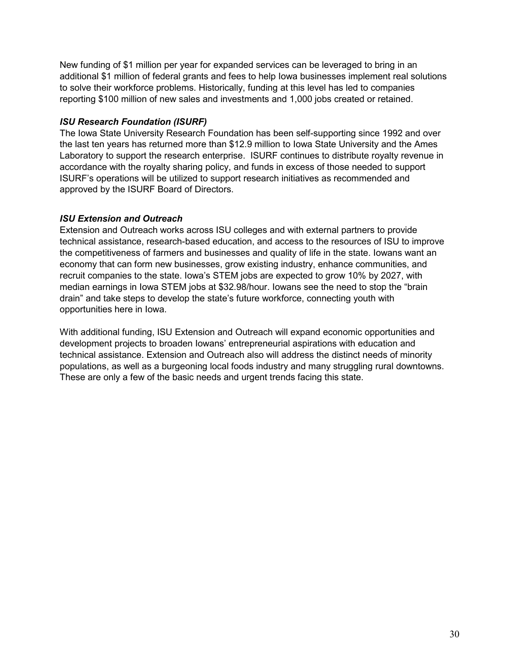New funding of \$1 million per year for expanded services can be leveraged to bring in an additional \$1 million of federal grants and fees to help Iowa businesses implement real solutions to solve their workforce problems. Historically, funding at this level has led to companies reporting \$100 million of new sales and investments and 1,000 jobs created or retained.

#### *ISU Research Foundation (ISURF)*

The Iowa State University Research Foundation has been self-supporting since 1992 and over the last ten years has returned more than \$12.9 million to Iowa State University and the Ames Laboratory to support the research enterprise. ISURF continues to distribute royalty revenue in accordance with the royalty sharing policy, and funds in excess of those needed to support ISURF's operations will be utilized to support research initiatives as recommended and approved by the ISURF Board of Directors.

#### *ISU Extension and Outreach*

Extension and Outreach works across ISU colleges and with external partners to provide technical assistance, research-based education, and access to the resources of ISU to improve the competitiveness of farmers and businesses and quality of life in the state. Iowans want an economy that can form new businesses, grow existing industry, enhance communities, and recruit companies to the state. Iowa's STEM jobs are expected to grow 10% by 2027, with median earnings in Iowa STEM jobs at \$32.98/hour. Iowans see the need to stop the "brain drain" and take steps to develop the state's future workforce, connecting youth with opportunities here in Iowa.

With additional funding, ISU Extension and Outreach will expand economic opportunities and development projects to broaden Iowans' entrepreneurial aspirations with education and technical assistance. Extension and Outreach also will address the distinct needs of minority populations, as well as a burgeoning local foods industry and many struggling rural downtowns. These are only a few of the basic needs and urgent trends facing this state.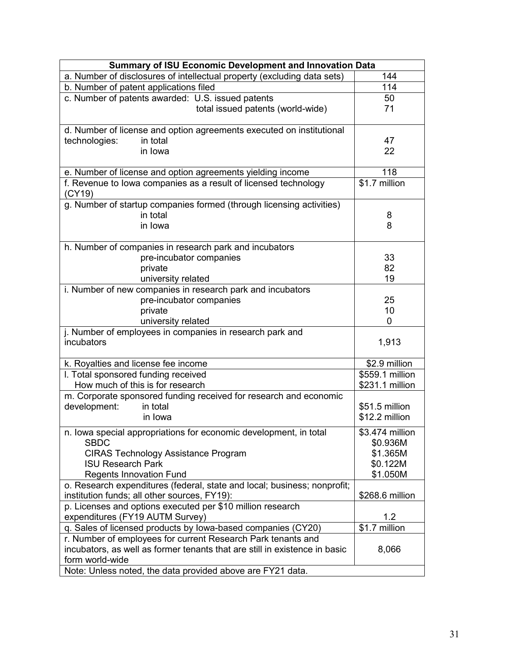| <b>Summary of ISU Economic Development and Innovation Data</b>             |                 |  |  |  |  |  |
|----------------------------------------------------------------------------|-----------------|--|--|--|--|--|
| a. Number of disclosures of intellectual property (excluding data sets)    | 144             |  |  |  |  |  |
| b. Number of patent applications filed                                     | 114             |  |  |  |  |  |
| c. Number of patents awarded: U.S. issued patents                          | 50              |  |  |  |  |  |
| total issued patents (world-wide)                                          | 71              |  |  |  |  |  |
|                                                                            |                 |  |  |  |  |  |
| d. Number of license and option agreements executed on institutional       |                 |  |  |  |  |  |
| technologies:<br>in total                                                  | 47              |  |  |  |  |  |
| in Iowa                                                                    | 22              |  |  |  |  |  |
|                                                                            |                 |  |  |  |  |  |
| e. Number of license and option agreements yielding income                 | 118             |  |  |  |  |  |
| f. Revenue to lowa companies as a result of licensed technology<br>(CY19)  | \$1.7 million   |  |  |  |  |  |
| g. Number of startup companies formed (through licensing activities)       |                 |  |  |  |  |  |
| in total                                                                   | 8               |  |  |  |  |  |
| in Iowa                                                                    | 8               |  |  |  |  |  |
|                                                                            |                 |  |  |  |  |  |
| h. Number of companies in research park and incubators                     |                 |  |  |  |  |  |
| pre-incubator companies                                                    | 33              |  |  |  |  |  |
| private                                                                    | 82              |  |  |  |  |  |
| university related                                                         | 19              |  |  |  |  |  |
| i. Number of new companies in research park and incubators                 |                 |  |  |  |  |  |
| pre-incubator companies                                                    | 25              |  |  |  |  |  |
| private                                                                    | 10              |  |  |  |  |  |
| university related                                                         | 0               |  |  |  |  |  |
| j. Number of employees in companies in research park and                   |                 |  |  |  |  |  |
| incubators                                                                 | 1,913           |  |  |  |  |  |
|                                                                            |                 |  |  |  |  |  |
| k. Royalties and license fee income                                        | \$2.9 million   |  |  |  |  |  |
| I. Total sponsored funding received                                        | \$559.1 million |  |  |  |  |  |
| How much of this is for research                                           | \$231.1 million |  |  |  |  |  |
| m. Corporate sponsored funding received for research and economic          |                 |  |  |  |  |  |
| development:<br>in total                                                   | \$51.5 million  |  |  |  |  |  |
| in Iowa                                                                    | \$12.2 million  |  |  |  |  |  |
| n. Iowa special appropriations for economic development, in total          | \$3.474 million |  |  |  |  |  |
| <b>SBDC</b>                                                                | \$0.936M        |  |  |  |  |  |
| <b>CIRAS Technology Assistance Program</b>                                 | \$1.365M        |  |  |  |  |  |
| <b>ISU Research Park</b>                                                   | \$0.122M        |  |  |  |  |  |
| <b>Regents Innovation Fund</b>                                             | \$1.050M        |  |  |  |  |  |
| o. Research expenditures (federal, state and local; business; nonprofit;   |                 |  |  |  |  |  |
| institution funds; all other sources, FY19):                               | \$268.6 million |  |  |  |  |  |
| p. Licenses and options executed per \$10 million research                 |                 |  |  |  |  |  |
| expenditures (FY19 AUTM Survey)                                            | 1.2             |  |  |  |  |  |
| q. Sales of licensed products by lowa-based companies (CY20)               | \$1.7 million   |  |  |  |  |  |
| r. Number of employees for current Research Park tenants and               |                 |  |  |  |  |  |
| incubators, as well as former tenants that are still in existence in basic | 8,066           |  |  |  |  |  |
| form world-wide                                                            |                 |  |  |  |  |  |
| Note: Unless noted, the data provided above are FY21 data.                 |                 |  |  |  |  |  |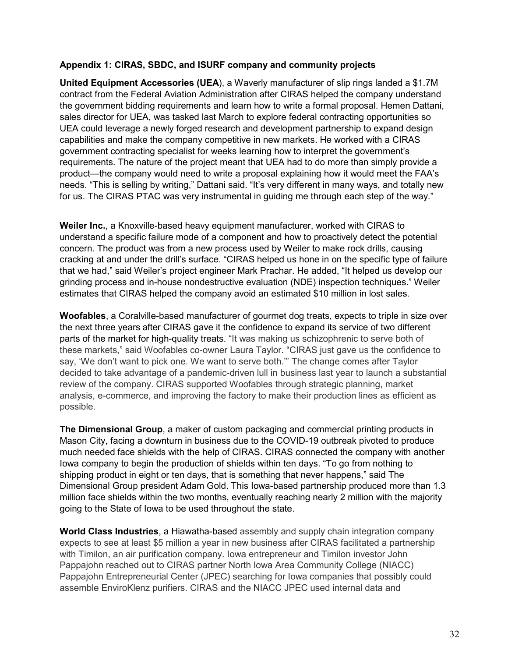#### **Appendix 1: CIRAS, SBDC, and ISURF company and community projects**

**United Equipment Accessories (UEA**), a Waverly manufacturer of slip rings landed a \$1.7M contract from the Federal Aviation Administration after CIRAS helped the company understand the government bidding requirements and learn how to write a formal proposal. Hemen Dattani, sales director for UEA, was tasked last March to explore federal contracting opportunities so UEA could leverage a newly forged research and development partnership to expand design capabilities and make the company competitive in new markets. He worked with a CIRAS government contracting specialist for weeks learning how to interpret the government's requirements. The nature of the project meant that UEA had to do more than simply provide a product—the company would need to write a proposal explaining how it would meet the FAA's needs. "This is selling by writing," Dattani said. "It's very different in many ways, and totally new for us. The CIRAS PTAC was very instrumental in guiding me through each step of the way."

**Weiler Inc.**, a Knoxville-based heavy equipment manufacturer, worked with CIRAS to understand a specific failure mode of a component and how to proactively detect the potential concern. The product was from a new process used by Weiler to make rock drills, causing cracking at and under the drill's surface. "CIRAS helped us hone in on the specific type of failure that we had," said Weiler's project engineer Mark Prachar. He added, "It helped us develop our grinding process and in-house nondestructive evaluation (NDE) inspection techniques." Weiler estimates that CIRAS helped the company avoid an estimated \$10 million in lost sales.

**Woofables**, a Coralville-based manufacturer of gourmet dog treats, expects to triple in size over the next three years after CIRAS gave it the confidence to expand its service of two different parts of the market for high-quality treats. "It was making us schizophrenic to serve both of these markets," said Woofables co-owner Laura Taylor. "CIRAS just gave us the confidence to say, 'We don't want to pick one. We want to serve both.'" The change comes after Taylor decided to take advantage of a pandemic-driven lull in business last year to launch a substantial review of the company. CIRAS supported Woofables through strategic planning, market analysis, e-commerce, and improving the factory to make their production lines as efficient as possible.

**The Dimensional Group**, a maker of custom packaging and commercial printing products in Mason City, facing a downturn in business due to the COVID-19 outbreak pivoted to produce much needed face shields with the help of CIRAS. CIRAS connected the company with another Iowa company to begin the production of shields within ten days. "To go from nothing to shipping product in eight or ten days, that is something that never happens," said The Dimensional Group president Adam Gold. This Iowa-based partnership produced more than 1.3 million face shields within the two months, eventually reaching nearly 2 million with the majority going to the State of Iowa to be used throughout the state.

**World Class Industries**, a Hiawatha-based assembly and supply chain integration company expects to see at least \$5 million a year in new business after CIRAS facilitated a partnership with Timilon, an air purification company. Iowa entrepreneur and Timilon investor John Pappajohn reached out to CIRAS partner North Iowa Area Community College (NIACC) Pappajohn Entrepreneurial Center (JPEC) searching for Iowa companies that possibly could assemble EnviroKlenz purifiers. CIRAS and the NIACC JPEC used internal data and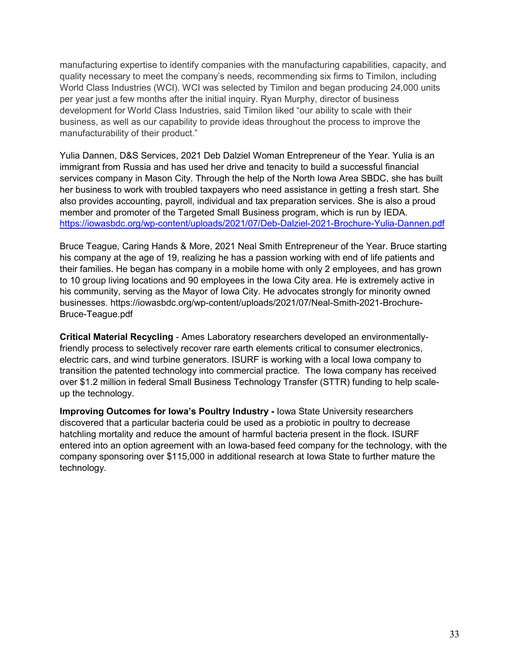manufacturing expertise to identify companies with the manufacturing capabilities, capacity, and quality necessary to meet the company's needs, recommending six firms to Timilon, including World Class Industries (WCI). WCI was selected by Timilon and began producing 24,000 units per year just a few months after the initial inquiry. Ryan Murphy, director of business development for World Class Industries, said Timilon liked "our ability to scale with their business, as well as our capability to provide ideas throughout the process to improve the manufacturability of their product."

Yulia Dannen, D&S Services, 2021 Deb Dalziel Woman Entrepreneur of the Year. Yulia is an immigrant from Russia and has used her drive and tenacity to build a successful financial services company in Mason City. Through the help of the North Iowa Area SBDC, she has built her business to work with troubled taxpayers who need assistance in getting a fresh start. She also provides accounting, payroll, individual and tax preparation services. She is also a proud member and promoter of the Targeted Small Business program, which is run by IEDA. <https://iowasbdc.org/wp-content/uploads/2021/07/Deb-Dalziel-2021-Brochure-Yulia-Dannen.pdf>

Bruce Teague, Caring Hands & More, 2021 Neal Smith Entrepreneur of the Year. Bruce starting his company at the age of 19, realizing he has a passion working with end of life patients and their families. He began has company in a mobile home with only 2 employees, and has grown to 10 group living locations and 90 employees in the Iowa City area. He is extremely active in his community, serving as the Mayor of Iowa City. He advocates strongly for minority owned businesses. https://iowasbdc.org/wp-content/uploads/2021/07/Neal-Smith-2021-Brochure-Bruce-Teague.pdf

**Critical Material Recycling** - Ames Laboratory researchers developed an environmentallyfriendly process to selectively recover rare earth elements critical to consumer electronics, electric cars, and wind turbine generators. ISURF is working with a local Iowa company to transition the patented technology into commercial practice. The Iowa company has received over \$1.2 million in federal Small Business Technology Transfer (STTR) funding to help scaleup the technology.

**Improving Outcomes for Iowa's Poultry Industry -** Iowa State University researchers discovered that a particular bacteria could be used as a probiotic in poultry to decrease hatchling mortality and reduce the amount of harmful bacteria present in the flock. ISURF entered into an option agreement with an Iowa-based feed company for the technology, with the company sponsoring over \$115,000 in additional research at Iowa State to further mature the technology.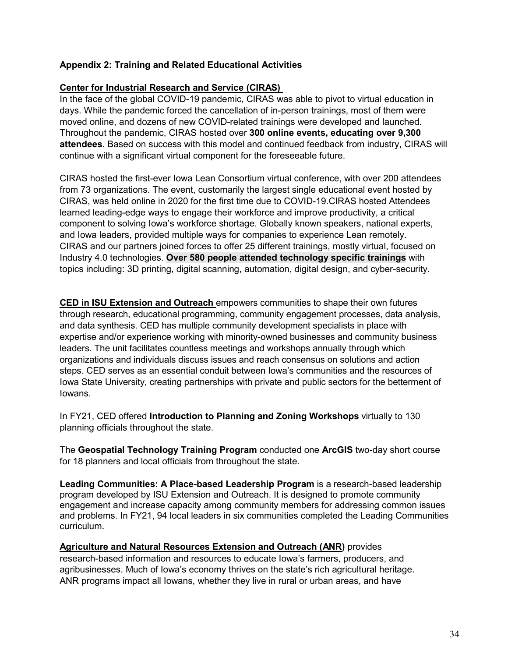#### **Appendix 2: Training and Related Educational Activities**

#### **Center for Industrial Research and Service (CIRAS)**

In the face of the global COVID-19 pandemic, CIRAS was able to pivot to virtual education in days. While the pandemic forced the cancellation of in-person trainings, most of them were moved online, and dozens of new COVID-related trainings were developed and launched. Throughout the pandemic, CIRAS hosted over **300 online events, educating over 9,300 attendees**. Based on success with this model and continued feedback from industry, CIRAS will continue with a significant virtual component for the foreseeable future.

CIRAS hosted the first-ever Iowa Lean Consortium virtual conference, with over 200 attendees from 73 organizations. The event, customarily the largest single educational event hosted by CIRAS, was held online in 2020 for the first time due to COVID-19.CIRAS hosted Attendees learned leading-edge ways to engage their workforce and improve productivity, a critical component to solving Iowa's workforce shortage. Globally known speakers, national experts, and Iowa leaders, provided multiple ways for companies to experience Lean remotely. CIRAS and our partners joined forces to offer 25 different trainings, mostly virtual, focused on Industry 4.0 technologies. **Over 580 people attended technology specific trainings** with topics including: 3D printing, digital scanning, automation, digital design, and cyber-security.

**CED in ISU Extension and Outreach** empowers communities to shape their own futures through research, educational programming, community engagement processes, data analysis, and data synthesis. CED has multiple community development specialists in place with expertise and/or experience working with minority-owned businesses and community business leaders. The unit facilitates countless meetings and workshops annually through which organizations and individuals discuss issues and reach consensus on solutions and action steps. CED serves as an essential conduit between Iowa's communities and the resources of Iowa State University, creating partnerships with private and public sectors for the betterment of Iowans.

In FY21, CED offered **Introduction to Planning and Zoning Workshops** virtually to 130 planning officials throughout the state.

The **Geospatial Technology Training Program** conducted one **ArcGIS** two-day short course for 18 planners and local officials from throughout the state.

**Leading Communities: A Place-based Leadership Program** is a research-based leadership program developed by ISU Extension and Outreach. It is designed to promote community engagement and increase capacity among community members for addressing common issues and problems. In FY21, 94 local leaders in six communities completed the Leading Communities curriculum.

#### **Agriculture and Natural Resources Extension and Outreach (ANR)** provides

research-based information and resources to educate Iowa's farmers, producers, and agribusinesses. Much of Iowa's economy thrives on the state's rich agricultural heritage. ANR programs impact all Iowans, whether they live in rural or urban areas, and have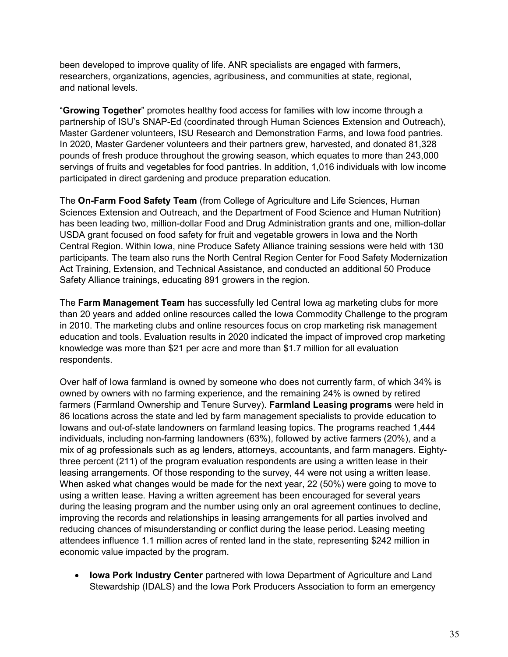been developed to improve quality of life. ANR specialists are engaged with farmers, researchers, organizations, agencies, agribusiness, and communities at state, regional, and national levels.

"**Growing Together**" promotes healthy food access for families with low income through a partnership of ISU's SNAP-Ed (coordinated through Human Sciences Extension and Outreach), Master Gardener volunteers, ISU Research and Demonstration Farms, and Iowa food pantries. In 2020, Master Gardener volunteers and their partners grew, harvested, and donated 81,328 pounds of fresh produce throughout the growing season, which equates to more than 243,000 servings of fruits and vegetables for food pantries. In addition, 1,016 individuals with low income participated in direct gardening and produce preparation education.

The **On-Farm Food Safety Team** (from College of Agriculture and Life Sciences, Human Sciences Extension and Outreach, and the Department of Food Science and Human Nutrition) has been leading two, million-dollar Food and Drug Administration grants and one, million-dollar USDA grant focused on food safety for fruit and vegetable growers in Iowa and the North Central Region. Within Iowa, nine Produce Safety Alliance training sessions were held with 130 participants. The team also runs the North Central Region Center for Food Safety Modernization Act Training, Extension, and Technical Assistance, and conducted an additional 50 Produce Safety Alliance trainings, educating 891 growers in the region.

The **Farm Management Team** has successfully led Central Iowa ag marketing clubs for more than 20 years and added online resources called the Iowa Commodity Challenge to the program in 2010. The marketing clubs and online resources focus on crop marketing risk management education and tools. Evaluation results in 2020 indicated the impact of improved crop marketing knowledge was more than \$21 per acre and more than \$1.7 million for all evaluation respondents.

Over half of Iowa farmland is owned by someone who does not currently farm, of which 34% is owned by owners with no farming experience, and the remaining 24% is owned by retired farmers (Farmland Ownership and Tenure Survey). **Farmland Leasing programs** were held in 86 locations across the state and led by farm management specialists to provide education to Iowans and out-of-state landowners on farmland leasing topics. The programs reached 1,444 individuals, including non-farming landowners (63%), followed by active farmers (20%), and a mix of ag professionals such as ag lenders, attorneys, accountants, and farm managers. Eightythree percent (211) of the program evaluation respondents are using a written lease in their leasing arrangements. Of those responding to the survey, 44 were not using a written lease. When asked what changes would be made for the next year, 22 (50%) were going to move to using a written lease. Having a written agreement has been encouraged for several years during the leasing program and the number using only an oral agreement continues to decline, improving the records and relationships in leasing arrangements for all parties involved and reducing chances of misunderstanding or conflict during the lease period. Leasing meeting attendees influence 1.1 million acres of rented land in the state, representing \$242 million in economic value impacted by the program.

• **Iowa Pork Industry Center** partnered with Iowa Department of Agriculture and Land Stewardship (IDALS) and the Iowa Pork Producers Association to form an emergency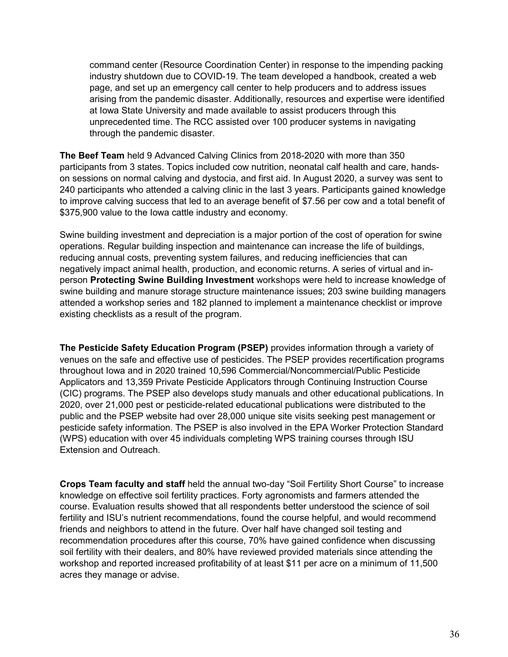command center (Resource Coordination Center) in response to the impending packing industry shutdown due to COVID-19. The team developed a handbook, created a web page, and set up an emergency call center to help producers and to address issues arising from the pandemic disaster. Additionally, resources and expertise were identified at Iowa State University and made available to assist producers through this unprecedented time. The RCC assisted over 100 producer systems in navigating through the pandemic disaster.

**The Beef Team** held 9 Advanced Calving Clinics from 2018-2020 with more than 350 participants from 3 states. Topics included cow nutrition, neonatal calf health and care, handson sessions on normal calving and dystocia, and first aid. In August 2020, a survey was sent to 240 participants who attended a calving clinic in the last 3 years. Participants gained knowledge to improve calving success that led to an average benefit of \$7.56 per cow and a total benefit of \$375,900 value to the Iowa cattle industry and economy.

Swine building investment and depreciation is a major portion of the cost of operation for swine operations. Regular building inspection and maintenance can increase the life of buildings, reducing annual costs, preventing system failures, and reducing inefficiencies that can negatively impact animal health, production, and economic returns. A series of virtual and inperson **Protecting Swine Building Investment** workshops were held to increase knowledge of swine building and manure storage structure maintenance issues; 203 swine building managers attended a workshop series and 182 planned to implement a maintenance checklist or improve existing checklists as a result of the program.

**The Pesticide Safety Education Program (PSEP)** provides information through a variety of venues on the safe and effective use of pesticides. The PSEP provides recertification programs throughout Iowa and in 2020 trained 10,596 Commercial/Noncommercial/Public Pesticide Applicators and 13,359 Private Pesticide Applicators through Continuing Instruction Course (CIC) programs. The PSEP also develops study manuals and other educational publications. In 2020, over 21,000 pest or pesticide-related educational publications were distributed to the public and the PSEP website had over 28,000 unique site visits seeking pest management or pesticide safety information. The PSEP is also involved in the EPA Worker Protection Standard (WPS) education with over 45 individuals completing WPS training courses through ISU Extension and Outreach.

**Crops Team faculty and staff** held the annual two-day "Soil Fertility Short Course" to increase knowledge on effective soil fertility practices. Forty agronomists and farmers attended the course. Evaluation results showed that all respondents better understood the science of soil fertility and ISU's nutrient recommendations, found the course helpful, and would recommend friends and neighbors to attend in the future. Over half have changed soil testing and recommendation procedures after this course, 70% have gained confidence when discussing soil fertility with their dealers, and 80% have reviewed provided materials since attending the workshop and reported increased profitability of at least \$11 per acre on a minimum of 11,500 acres they manage or advise.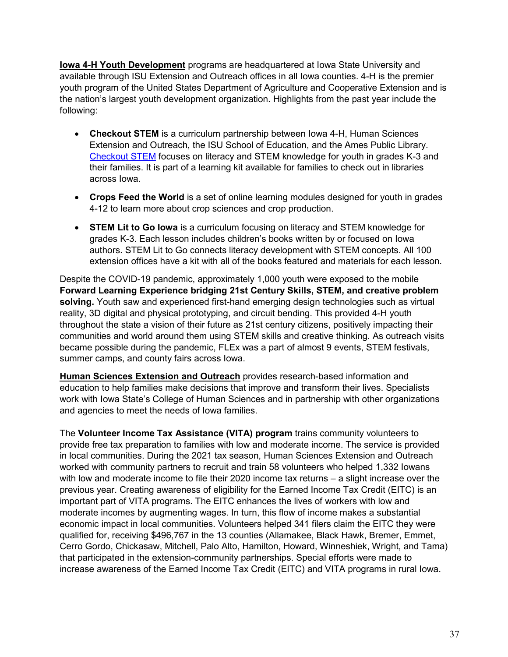**Iowa 4-H Youth Development** programs are headquartered at Iowa State University and available through ISU Extension and Outreach offices in all Iowa counties. 4-H is the premier youth program of the United States Department of Agriculture and Cooperative Extension and is the nation's largest youth development organization. Highlights from the past year include the following:

- **Checkout STEM** is a curriculum partnership between Iowa 4-H, Human Sciences Extension and Outreach, the ISU School of Education, and the Ames Public Library. [Checkout STEM](http://www.education.iastate.edu/checkout-stem) focuses on literacy and STEM knowledge for youth in grades K-3 and their families. It is part of a learning kit available for families to check out in libraries across Iowa.
- **Crops Feed the World** is a set of online learning modules designed for youth in grades 4-12 to learn more about crop sciences and crop production.
- **STEM Lit to Go Iowa** is a curriculum focusing on literacy and STEM knowledge for grades K-3. Each lesson includes children's books written by or focused on Iowa authors. STEM Lit to Go connects literacy development with STEM concepts. All 100 extension offices have a kit with all of the books featured and materials for each lesson.

Despite the COVID-19 pandemic, approximately 1,000 youth were exposed to the mobile **Forward Learning Experience bridging 21st Century Skills, STEM, and creative problem solving.** Youth saw and experienced first-hand emerging design technologies such as virtual reality, 3D digital and physical prototyping, and circuit bending. This provided 4-H youth throughout the state a vision of their future as 21st century citizens, positively impacting their communities and world around them using STEM skills and creative thinking. As outreach visits became possible during the pandemic, FLEx was a part of almost 9 events, STEM festivals, summer camps, and county fairs across Iowa.

**Human Sciences Extension and Outreach** provides research-based information and education to help families make decisions that improve and transform their lives. Specialists work with Iowa State's College of Human Sciences and in partnership with other organizations and agencies to meet the needs of Iowa families.

The **Volunteer Income Tax Assistance (VITA) program** trains community volunteers to provide free tax preparation to families with low and moderate income. The service is provided in local communities. During the 2021 tax season, Human Sciences Extension and Outreach worked with community partners to recruit and train 58 volunteers who helped 1,332 Iowans with low and moderate income to file their 2020 income tax returns – a slight increase over the previous year. Creating awareness of eligibility for the Earned Income Tax Credit (EITC) is an important part of VITA programs. The EITC enhances the lives of workers with low and moderate incomes by augmenting wages. In turn, this flow of income makes a substantial economic impact in local communities. Volunteers helped 341 filers claim the EITC they were qualified for, receiving \$496,767 in the 13 counties (Allamakee, Black Hawk, Bremer, Emmet, Cerro Gordo, Chickasaw, Mitchell, Palo Alto, Hamilton, Howard, Winneshiek, Wright, and Tama) that participated in the extension-community partnerships. Special efforts were made to increase awareness of the Earned Income Tax Credit (EITC) and VITA programs in rural Iowa.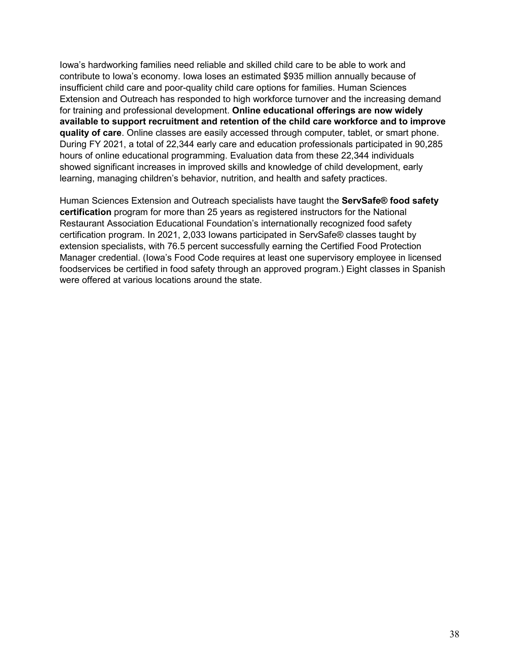Iowa's hardworking families need reliable and skilled child care to be able to work and contribute to Iowa's economy. Iowa loses an estimated \$935 million annually because of insufficient child care and poor-quality child care options for families. Human Sciences Extension and Outreach has responded to high workforce turnover and the increasing demand for training and professional development. **Online educational offerings are now widely available to support recruitment and retention of the child care workforce and to improve quality of care**. Online classes are easily accessed through computer, tablet, or smart phone. During FY 2021, a total of 22,344 early care and education professionals participated in 90,285 hours of online educational programming. Evaluation data from these 22,344 individuals showed significant increases in improved skills and knowledge of child development, early learning, managing children's behavior, nutrition, and health and safety practices.

Human Sciences Extension and Outreach specialists have taught the **ServSafe® food safety certification** program for more than 25 years as registered instructors for the National Restaurant Association Educational Foundation's internationally recognized food safety certification program. In 2021, 2,033 Iowans participated in ServSafe® classes taught by extension specialists, with 76.5 percent successfully earning the Certified Food Protection Manager credential. (Iowa's Food Code requires at least one supervisory employee in licensed foodservices be certified in food safety through an approved program.) Eight classes in Spanish were offered at various locations around the state.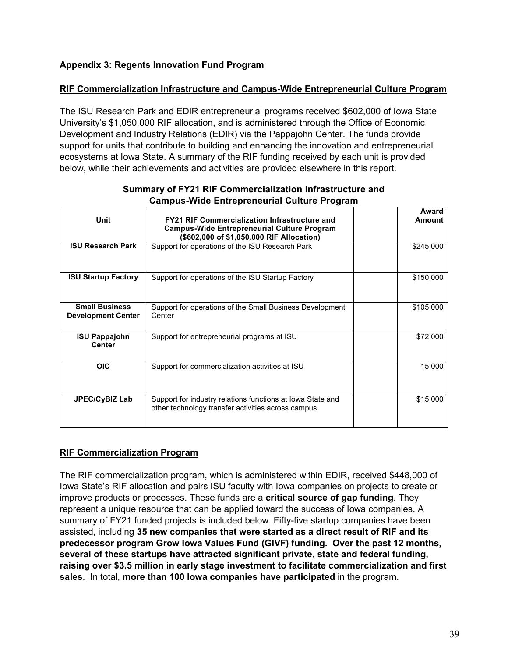#### **Appendix 3: Regents Innovation Fund Program**

#### **RIF Commercialization Infrastructure and Campus-Wide Entrepreneurial Culture Program**

The ISU Research Park and EDIR entrepreneurial programs received \$602,000 of Iowa State University's \$1,050,000 RIF allocation, and is administered through the Office of Economic Development and Industry Relations (EDIR) via the Pappajohn Center. The funds provide support for units that contribute to building and enhancing the innovation and entrepreneurial ecosystems at Iowa State. A summary of the RIF funding received by each unit is provided below, while their achievements and activities are provided elsewhere in this report.

| Unit                                               | <b>FY21 RIF Commercialization Infrastructure and</b><br><b>Campus-Wide Entrepreneurial Culture Program</b><br>(\$602,000 of \$1,050,000 RIF Allocation) | Award<br><b>Amount</b> |
|----------------------------------------------------|---------------------------------------------------------------------------------------------------------------------------------------------------------|------------------------|
| <b>ISU Research Park</b>                           | Support for operations of the ISU Research Park                                                                                                         | \$245,000              |
| <b>ISU Startup Factory</b>                         | Support for operations of the ISU Startup Factory                                                                                                       | \$150,000              |
| <b>Small Business</b><br><b>Development Center</b> | Support for operations of the Small Business Development<br>Center                                                                                      | \$105,000              |
| <b>ISU Pappajohn</b><br><b>Center</b>              | Support for entrepreneurial programs at ISU                                                                                                             | \$72,000               |
| <b>OIC</b>                                         | Support for commercialization activities at ISU                                                                                                         | 15,000                 |
| JPEC/CyBIZ Lab                                     | Support for industry relations functions at Iowa State and<br>other technology transfer activities across campus.                                       | \$15,000               |

#### **Summary of FY21 RIF Commercialization Infrastructure and Campus-Wide Entrepreneurial Culture Program**

#### **RIF Commercialization Program**

The RIF commercialization program, which is administered within EDIR, received \$448,000 of Iowa State's RIF allocation and pairs ISU faculty with Iowa companies on projects to create or improve products or processes. These funds are a **critical source of gap funding**. They represent a unique resource that can be applied toward the success of Iowa companies. A summary of FY21 funded projects is included below. Fifty-five startup companies have been assisted, including **35 new companies that were started as a direct result of RIF and its predecessor program Grow Iowa Values Fund (GIVF) funding. Over the past 12 months, several of these startups have attracted significant private, state and federal funding, raising over \$3.5 million in early stage investment to facilitate commercialization and first sales**. In total, **more than 100 Iowa companies have participated** in the program.